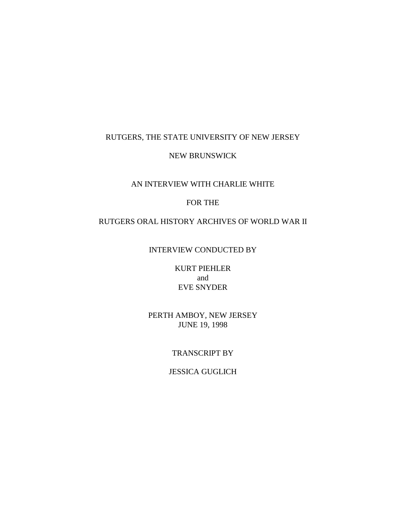### RUTGERS, THE STATE UNIVERSITY OF NEW JERSEY

#### NEW BRUNSWICK

# AN INTERVIEW WITH CHARLIE WHITE

### FOR THE

#### RUTGERS ORAL HISTORY ARCHIVES OF WORLD WAR II

# INTERVIEW CONDUCTED BY

KURT PIEHLER and EVE SNYDER

### PERTH AMBOY, NEW JERSEY JUNE 19, 1998

#### TRANSCRIPT BY

### JESSICA GUGLICH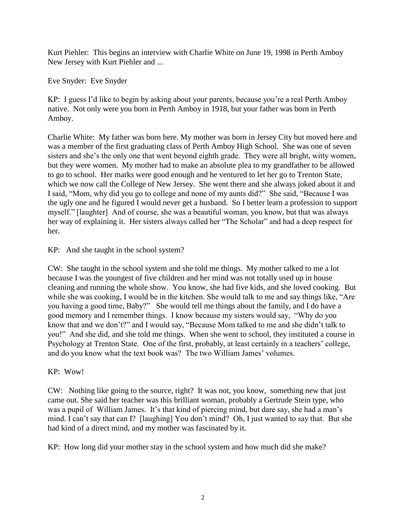Kurt Piehler: This begins an interview with Charlie White on June 19, 1998 in Perth Amboy New Jersey with Kurt Piehler and ...

Eve Snyder: Eve Snyder

KP: I guess I'd like to begin by asking about your parents, because you're a real Perth Amboy native. Not only were you born in Perth Amboy in 1918, but your father was born in Perth Amboy.

Charlie White: My father was born here. My mother was born in Jersey City but moved here and was a member of the first graduating class of Perth Amboy High School. She was one of seven sisters and she's the only one that went beyond eighth grade. They were all bright, witty women, but they were women. My mother had to make an absolute plea to my grandfather to be allowed to go to school. Her marks were good enough and he ventured to let her go to Trenton State, which we now call the College of New Jersey. She went there and she always joked about it and I said, "Mom, why did you go to college and none of my aunts did?" She said, "Because I was the ugly one and he figured I would never get a husband. So I better learn a profession to support myself." [laughter] And of course, she was a beautiful woman, you know, but that was always her way of explaining it. Her sisters always called her "The Scholar" and had a deep respect for her.

KP: And she taught in the school system?

CW: She taught in the school system and she told me things. My mother talked to me a lot because I was the youngest of five children and her mind was not totally used up in house cleaning and running the whole show. You know, she had five kids, and she loved cooking. But while she was cooking, I would be in the kitchen. She would talk to me and say things like, "Are you having a good time, Baby?" She would tell me things about the family, and I do have a good memory and I remember things. I know because my sisters would say, "Why do you know that and we don't?" and I would say, "Because Mom talked to me and she didn't talk to you!" And she did, and she told me things. When she went to school, they instituted a course in Psychology at Trenton State. One of the first, probably, at least certainly in a teachers' college, and do you know what the text book was? The two William James' volumes.

# KP: Wow!

CW: Nothing like going to the source, right? It was not, you know, something new that just came out. She said her teacher was this brilliant woman, probably a Gertrude Stein type, who was a pupil of William James. It's that kind of piercing mind, but dare say, she had a man's mind. I can't say that can I? [laughing] You don't mind? Oh, I just wanted to say that. But she had kind of a direct mind, and my mother was fascinated by it.

KP: How long did your mother stay in the school system and how much did she make?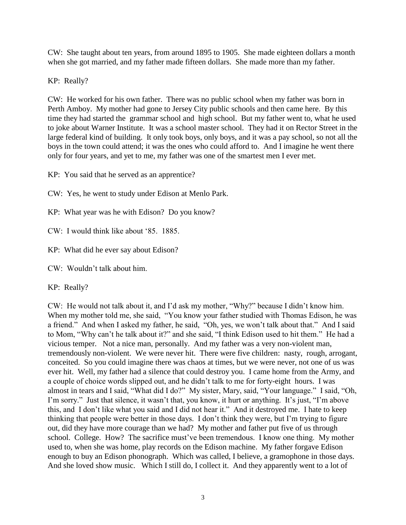CW: She taught about ten years, from around 1895 to 1905. She made eighteen dollars a month when she got married, and my father made fifteen dollars. She made more than my father.

KP: Really?

CW: He worked for his own father. There was no public school when my father was born in Perth Amboy. My mother had gone to Jersey City public schools and then came here. By this time they had started the grammar school and high school. But my father went to, what he used to joke about Warner Institute. It was a school master school. They had it on Rector Street in the large federal kind of building. It only took boys, only boys, and it was a pay school, so not all the boys in the town could attend; it was the ones who could afford to. And I imagine he went there only for four years, and yet to me, my father was one of the smartest men I ever met.

KP: You said that he served as an apprentice?

CW: Yes, he went to study under Edison at Menlo Park.

KP: What year was he with Edison? Do you know?

 $CW: I$  would think like about '85. 1885.

KP: What did he ever say about Edison?

 $CW:$  Wouldn't talk about him.

KP: Really?

CW: He would not talk about it, and I'd ask my mother, "Why?" because I didn't know him. When my mother told me, she said, "You know your father studied with Thomas Edison, he was a friend." And when I asked my father, he said, "Oh, yes, we won't talk about that." And I said to Mom, "Why can't he talk about it?" and she said, "I think Edison used to hit them." He had a vicious temper. Not a nice man, personally. And my father was a very non-violent man, tremendously non-violent. We were never hit. There were five children: nasty, rough, arrogant, conceited. So you could imagine there was chaos at times, but we were never, not one of us was ever hit. Well, my father had a silence that could destroy you. I came home from the Army, and a couple of choice words slipped out, and he didn't talk to me for forty-eight hours. I was almost in tears and I said, "What did I do?" My sister, Mary, said, "Your language." I said, "Oh, I'm sorry." Just that silence, it wasn't that, you know, it hurt or anything. It's just, "I'm above this, and I don't like what you said and I did not hear it." And it destroyed me. I hate to keep thinking that people were better in those days. I don't think they were, but I'm trying to figure out, did they have more courage than we had? My mother and father put five of us through school. College. How? The sacrifice must've been tremendous. I know one thing. My mother used to, when she was home, play records on the Edison machine. My father forgave Edison enough to buy an Edison phonograph. Which was called, I believe, a gramophone in those days. And she loved show music. Which I still do, I collect it. And they apparently went to a lot of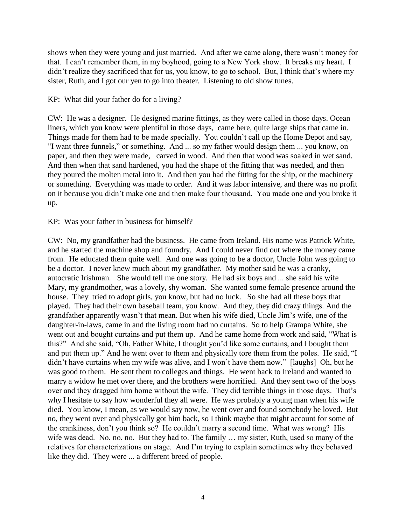shows when they were young and just married. And after we came along, there wasn't money for that. I can't remember them, in my boyhood, going to a New York show. It breaks my heart. I didn't realize they sacrificed that for us, you know, to go to school. But, I think that's where my sister, Ruth, and I got our yen to go into theater. Listening to old show tunes.

KP: What did your father do for a living?

CW: He was a designer. He designed marine fittings, as they were called in those days. Ocean liners, which you know were plentiful in those days, came here, quite large ships that came in. Things made for them had to be made specially. You couldn't call up the Home Depot and say, "I want three funnels," or something. And ... so my father would design them ... you know, on paper, and then they were made, carved in wood. And then that wood was soaked in wet sand. And then when that sand hardened, you had the shape of the fitting that was needed, and then they poured the molten metal into it. And then you had the fitting for the ship, or the machinery or something. Everything was made to order. And it was labor intensive, and there was no profit on it because you didn't make one and then make four thousand. You made one and you broke it up.

### KP: Was your father in business for himself?

CW: No, my grandfather had the business. He came from Ireland. His name was Patrick White, and he started the machine shop and foundry. And I could never find out where the money came from. He educated them quite well. And one was going to be a doctor, Uncle John was going to be a doctor. I never knew much about my grandfather. My mother said he was a cranky, autocratic Irishman. She would tell me one story. He had six boys and ... she said his wife Mary, my grandmother, was a lovely, shy woman. She wanted some female presence around the house. They tried to adopt girls, you know, but had no luck. So she had all these boys that played. They had their own baseball team, you know. And they, they did crazy things. And the grandfather apparently wasn't that mean. But when his wife died, Uncle Jim's wife, one of the daughter-in-laws, came in and the living room had no curtains. So to help Grampa White, she went out and bought curtains and put them up. And he came home from work and said, "What is this?" And she said, "Oh, Father White, I thought you'd like some curtains, and I bought them and put them up." And he went over to them and physically tore them from the poles. He said, "I didn't have curtains when my wife was alive, and I won't have them now." [laughs] Oh, but he was good to them. He sent them to colleges and things. He went back to Ireland and wanted to marry a widow he met over there, and the brothers were horrified. And they sent two of the boys over and they dragged him home without the wife. They did terrible things in those days. That's why I hesitate to say how wonderful they all were. He was probably a young man when his wife died. You know, I mean, as we would say now, he went over and found somebody he loved. But no, they went over and physically got him back, so I think maybe that might account for some of the crankiness, don't you think so? He couldn't marry a second time. What was wrong? His wife was dead. No, no, no. But they had to. The family … my sister, Ruth, used so many of the relatives for characterizations on stage. And I'm trying to explain sometimes why they behaved like they did. They were ... a different breed of people.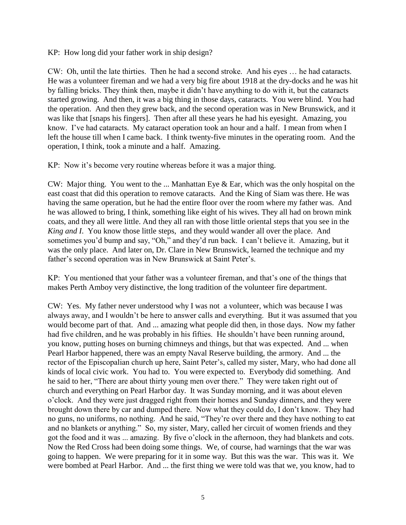KP: How long did your father work in ship design?

CW: Oh, until the late thirties. Then he had a second stroke. And his eyes … he had cataracts. He was a volunteer fireman and we had a very big fire about 1918 at the dry-docks and he was hit by falling bricks. They think then, maybe it didn't have anything to do with it, but the cataracts started growing. And then, it was a big thing in those days, cataracts. You were blind. You had the operation. And then they grew back, and the second operation was in New Brunswick, and it was like that [snaps his fingers]. Then after all these years he had his eyesight. Amazing, you know. I've had cataracts. My cataract operation took an hour and a half. I mean from when I left the house till when I came back. I think twenty-five minutes in the operating room. And the operation, I think, took a minute and a half. Amazing.

KP: Now it's become very routine whereas before it was a major thing.

CW: Major thing. You went to the ... Manhattan Eye & Ear, which was the only hospital on the east coast that did this operation to remove cataracts. And the King of Siam was there. He was having the same operation, but he had the entire floor over the room where my father was. And he was allowed to bring, I think, something like eight of his wives. They all had on brown mink coats, and they all were little. And they all ran with those little oriental steps that you see in the *King and I*. You know those little steps, and they would wander all over the place. And sometimes you'd bump and say, "Oh," and they'd run back. I can't believe it. Amazing, but it was the only place. And later on, Dr. Clare in New Brunswick, learned the technique and my father's second operation was in New Brunswick at Saint Peter's.

KP: You mentioned that your father was a volunteer fireman, and that's one of the things that makes Perth Amboy very distinctive, the long tradition of the volunteer fire department.

CW: Yes. My father never understood why I was not a volunteer, which was because I was always away, and I wouldn't be here to answer calls and everything. But it was assumed that you would become part of that. And ... amazing what people did then, in those days. Now my father had five children, and he was probably in his fifties. He shouldn't have been running around, you know, putting hoses on burning chimneys and things, but that was expected. And ... when Pearl Harbor happened, there was an empty Naval Reserve building, the armory. And ... the rector of the Episcopalian church up here, Saint Peter's, called my sister, Mary, who had done all kinds of local civic work. You had to. You were expected to. Everybody did something. And he said to her, "There are about thirty young men over there." They were taken right out of church and everything on Pearl Harbor day. It was Sunday morning, and it was about eleven o'clock. And they were just dragged right from their homes and Sunday dinners, and they were brought down there by car and dumped there. Now what they could do, I don't know. They had no guns, no uniforms, no nothing. And he said, "They're over there and they have nothing to eat and no blankets or anything." So, my sister, Mary, called her circuit of women friends and they got the food and it was ... amazing. By five o'clock in the afternoon, they had blankets and cots. Now the Red Cross had been doing some things. We, of course, had warnings that the war was going to happen. We were preparing for it in some way. But this was the war. This was it. We were bombed at Pearl Harbor. And ... the first thing we were told was that we, you know, had to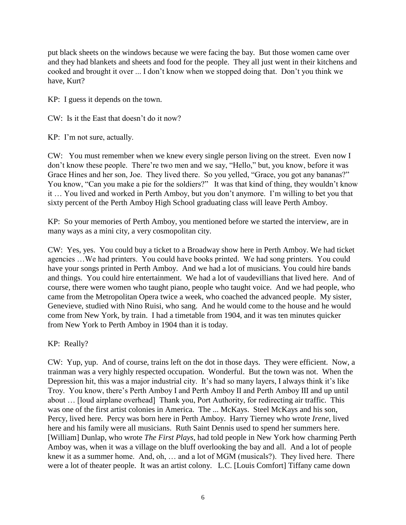put black sheets on the windows because we were facing the bay. But those women came over and they had blankets and sheets and food for the people. They all just went in their kitchens and cooked and brought it over ... I don't know when we stopped doing that. Don't you think we have, Kurt?

KP: I guess it depends on the town.

CW: Is it the East that doesn't do it now?

KP: I'm not sure, actually.

CW: You must remember when we knew every single person living on the street. Even now I don't know these people. There're two men and we say, "Hello," but, you know, before it was Grace Hines and her son, Joe. They lived there. So you yelled, "Grace, you got any bananas?" You know, "Can you make a pie for the soldiers?" It was that kind of thing, they wouldn't know it … You lived and worked in Perth Amboy, but you don't anymore. I'm willing to bet you that sixty percent of the Perth Amboy High School graduating class will leave Perth Amboy.

KP: So your memories of Perth Amboy, you mentioned before we started the interview, are in many ways as a mini city, a very cosmopolitan city.

CW: Yes, yes. You could buy a ticket to a Broadway show here in Perth Amboy. We had ticket agencies …We had printers. You could have books printed. We had song printers. You could have your songs printed in Perth Amboy. And we had a lot of musicians. You could hire bands and things. You could hire entertainment. We had a lot of vaudevillians that lived here. And of course, there were women who taught piano, people who taught voice. And we had people, who came from the Metropolitan Opera twice a week, who coached the advanced people. My sister, Genevieve, studied with Nino Ruisi, who sang. And he would come to the house and he would come from New York, by train. I had a timetable from 1904, and it was ten minutes quicker from New York to Perth Amboy in 1904 than it is today.

KP: Really?

CW: Yup, yup. And of course, trains left on the dot in those days. They were efficient. Now, a trainman was a very highly respected occupation. Wonderful. But the town was not. When the Depression hit, this was a major industrial city. It's had so many layers, I always think it's like Troy. You know, there's Perth Amboy I and Perth Amboy II and Perth Amboy III and up until about … [loud airplane overhead] Thank you, Port Authority, for redirecting air traffic. This was one of the first artist colonies in America. The ... McKays. Steel McKays and his son, Percy, lived here. Percy was born here in Perth Amboy. Harry Tierney who wrote *Irene*, lived here and his family were all musicians. Ruth Saint Dennis used to spend her summers here. [William] Dunlap, who wrote *The First Plays*, had told people in New York how charming Perth Amboy was, when it was a village on the bluff overlooking the bay and all. And a lot of people knew it as a summer home. And, oh, … and a lot of MGM (musicals?). They lived here. There were a lot of theater people. It was an artist colony. L.C. [Louis Comfort] Tiffany came down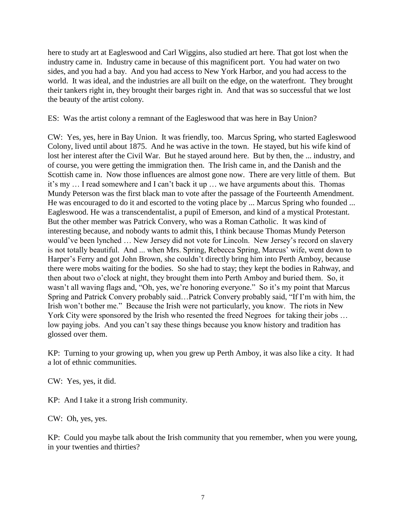here to study art at Eagleswood and Carl Wiggins, also studied art here. That got lost when the industry came in. Industry came in because of this magnificent port. You had water on two sides, and you had a bay. And you had access to New York Harbor, and you had access to the world. It was ideal, and the industries are all built on the edge, on the waterfront. They brought their tankers right in, they brought their barges right in. And that was so successful that we lost the beauty of the artist colony.

ES: Was the artist colony a remnant of the Eagleswood that was here in Bay Union?

CW: Yes, yes, here in Bay Union. It was friendly, too. Marcus Spring, who started Eagleswood Colony, lived until about 1875. And he was active in the town. He stayed, but his wife kind of lost her interest after the Civil War. But he stayed around here. But by then, the ... industry, and of course, you were getting the immigration then. The Irish came in, and the Danish and the Scottish came in. Now those influences are almost gone now. There are very little of them. But it's my … I read somewhere and I can't back it up … we have arguments about this. Thomas Mundy Peterson was the first black man to vote after the passage of the Fourteenth Amendment. He was encouraged to do it and escorted to the voting place by ... Marcus Spring who founded ... Eagleswood. He was a transcendentalist, a pupil of Emerson, and kind of a mystical Protestant. But the other member was Patrick Convery, who was a Roman Catholic. It was kind of interesting because, and nobody wants to admit this, I think because Thomas Mundy Peterson would've been lynched … New Jersey did not vote for Lincoln. New Jersey's record on slavery is not totally beautiful. And ... when Mrs. Spring, Rebecca Spring, Marcus' wife, went down to Harper's Ferry and got John Brown, she couldn't directly bring him into Perth Amboy, because there were mobs waiting for the bodies. So she had to stay; they kept the bodies in Rahway, and then about two o'clock at night, they brought them into Perth Amboy and buried them. So, it wasn't all waving flags and, "Oh, yes, we're honoring everyone." So it's my point that Marcus Spring and Patrick Convery probably said…Patrick Convery probably said, "If I'm with him, the Irish won't bother me." Because the Irish were not particularly, you know. The riots in New York City were sponsored by the Irish who resented the freed Negroes for taking their jobs ... low paying jobs. And you can't say these things because you know history and tradition has glossed over them.

KP: Turning to your growing up, when you grew up Perth Amboy, it was also like a city. It had a lot of ethnic communities.

CW: Yes, yes, it did.

KP: And I take it a strong Irish community.

CW: Oh, yes, yes.

KP: Could you maybe talk about the Irish community that you remember, when you were young, in your twenties and thirties?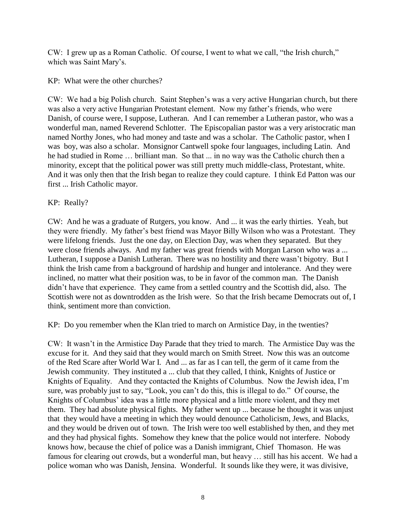CW: I grew up as a Roman Catholic. Of course, I went to what we call, "the Irish church," which was Saint Mary's.

KP: What were the other churches?

CW: We had a big Polish church. Saint Stephen's was a very active Hungarian church, but there was also a very active Hungarian Protestant element. Now my father's friends, who were Danish, of course were, I suppose, Lutheran. And I can remember a Lutheran pastor, who was a wonderful man, named Reverend Schlotter. The Episcopalian pastor was a very aristocratic man named Northy Jones, who had money and taste and was a scholar. The Catholic pastor, when I was boy, was also a scholar. Monsignor Cantwell spoke four languages, including Latin. And he had studied in Rome … brilliant man. So that ... in no way was the Catholic church then a minority, except that the political power was still pretty much middle-class, Protestant, white. And it was only then that the Irish began to realize they could capture. I think Ed Patton was our first ... Irish Catholic mayor.

# KP: Really?

CW: And he was a graduate of Rutgers, you know. And ... it was the early thirties. Yeah, but they were friendly. My father's best friend was Mayor Billy Wilson who was a Protestant. They were lifelong friends. Just the one day, on Election Day, was when they separated. But they were close friends always. And my father was great friends with Morgan Larson who was a ... Lutheran, I suppose a Danish Lutheran. There was no hostility and there wasn't bigotry. But I think the Irish came from a background of hardship and hunger and intolerance. And they were inclined, no matter what their position was, to be in favor of the common man. The Danish didn't have that experience. They came from a settled country and the Scottish did, also. The Scottish were not as downtrodden as the Irish were. So that the Irish became Democrats out of, I think, sentiment more than conviction.

KP: Do you remember when the Klan tried to march on Armistice Day, in the twenties?

CW: It wasn't in the Armistice Day Parade that they tried to march. The Armistice Day was the excuse for it. And they said that they would march on Smith Street. Now this was an outcome of the Red Scare after World War I. And ... as far as I can tell, the germ of it came from the Jewish community. They instituted a ... club that they called, I think, Knights of Justice or Knights of Equality. And they contacted the Knights of Columbus. Now the Jewish idea, I'm sure, was probably just to say, "Look, you can't do this, this is illegal to do." Of course, the Knights of Columbus' idea was a little more physical and a little more violent, and they met them. They had absolute physical fights. My father went up ... because he thought it was unjust that they would have a meeting in which they would denounce Catholicism, Jews, and Blacks, and they would be driven out of town. The Irish were too well established by then, and they met and they had physical fights. Somehow they knew that the police would not interfere. Nobody knows how, because the chief of police was a Danish immigrant, Chief Thomason. He was famous for clearing out crowds, but a wonderful man, but heavy … still has his accent. We had a police woman who was Danish, Jensina. Wonderful. It sounds like they were, it was divisive,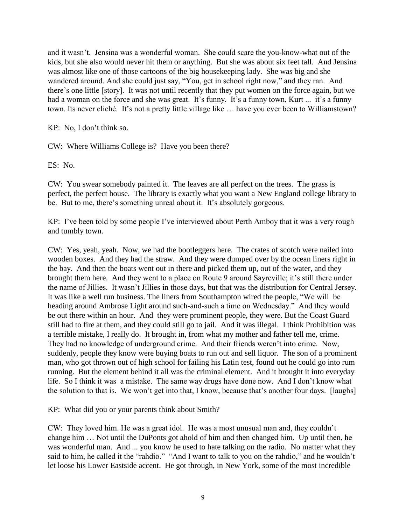and it wasn't. Jensina was a wonderful woman. She could scare the you-know-what out of the kids, but she also would never hit them or anything. But she was about six feet tall. And Jensina was almost like one of those cartoons of the big housekeeping lady. She was big and she wandered around. And she could just say, "You, get in school right now," and they ran. And there's one little [story]. It was not until recently that they put women on the force again, but we had a woman on the force and she was great. It's funny. It's a funny town, Kurt ... it's a funny town. Its never cliché. It's not a pretty little village like … have you ever been to Williamstown?

KP: No, I don't think so.

CW: Where Williams College is? Have you been there?

ES: No.

CW: You swear somebody painted it. The leaves are all perfect on the trees. The grass is perfect, the perfect house. The library is exactly what you want a New England college library to be. But to me, there's something unreal about it. It's absolutely gorgeous.

KP: I've been told by some people I've interviewed about Perth Amboy that it was a very rough and tumbly town.

CW: Yes, yeah, yeah. Now, we had the bootleggers here. The crates of scotch were nailed into wooden boxes. And they had the straw. And they were dumped over by the ocean liners right in the bay. And then the boats went out in there and picked them up, out of the water, and they brought them here. And they went to a place on Route 9 around Sayreville; it's still there under the name of Jillies. It wasn't Jillies in those days, but that was the distribution for Central Jersey. It was like a well run business. The liners from Southampton wired the people, "We will be heading around Ambrose Light around such-and-such a time on Wednesday." And they would be out there within an hour. And they were prominent people, they were. But the Coast Guard still had to fire at them, and they could still go to jail. And it was illegal. I think Prohibition was a terrible mistake, I really do. It brought in, from what my mother and father tell me, crime. They had no knowledge of underground crime. And their friends weren't into crime. Now, suddenly, people they know were buying boats to run out and sell liquor. The son of a prominent man, who got thrown out of high school for failing his Latin test, found out he could go into rum running. But the element behind it all was the criminal element. And it brought it into everyday life. So I think it was a mistake. The same way drugs have done now. And I don't know what the solution to that is. We won't get into that, I know, because that's another four days. [laughs]

KP: What did you or your parents think about Smith?

CW: They loved him. He was a great idol. He was a most unusual man and, they couldn't change him … Not until the DuPonts got ahold of him and then changed him. Up until then, he was wonderful man. And ... you know he used to hate talking on the radio. No matter what they said to him, he called it the "rahdio." "And I want to talk to you on the rahdio," and he wouldn't let loose his Lower Eastside accent. He got through, in New York, some of the most incredible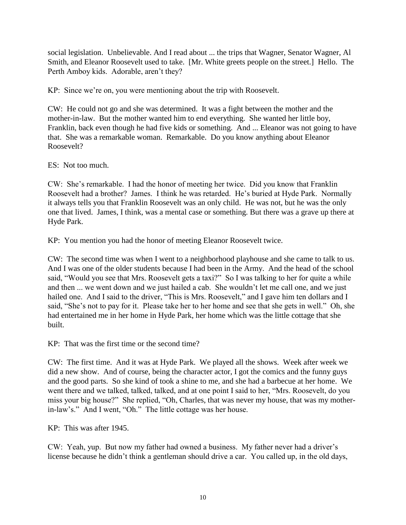social legislation. Unbelievable. And I read about ... the trips that Wagner, Senator Wagner, Al Smith, and Eleanor Roosevelt used to take. [Mr. White greets people on the street.] Hello. The Perth Amboy kids. Adorable, aren't they?

KP: Since we're on, you were mentioning about the trip with Roosevelt.

CW: He could not go and she was determined. It was a fight between the mother and the mother-in-law. But the mother wanted him to end everything. She wanted her little boy, Franklin, back even though he had five kids or something. And ... Eleanor was not going to have that. She was a remarkable woman. Remarkable. Do you know anything about Eleanor Roosevelt?

ES: Not too much.

CW: She's remarkable. I had the honor of meeting her twice. Did you know that Franklin Roosevelt had a brother? James. I think he was retarded. He's buried at Hyde Park. Normally it always tells you that Franklin Roosevelt was an only child. He was not, but he was the only one that lived. James, I think, was a mental case or something. But there was a grave up there at Hyde Park.

KP: You mention you had the honor of meeting Eleanor Roosevelt twice.

CW: The second time was when I went to a neighborhood playhouse and she came to talk to us. And I was one of the older students because I had been in the Army. And the head of the school said, "Would you see that Mrs. Roosevelt gets a taxi?" So I was talking to her for quite a while and then ... we went down and we just hailed a cab. She wouldn't let me call one, and we just hailed one. And I said to the driver, "This is Mrs. Roosevelt," and I gave him ten dollars and I said, "She's not to pay for it. Please take her to her home and see that she gets in well." Oh, she had entertained me in her home in Hyde Park, her home which was the little cottage that she built.

KP: That was the first time or the second time?

CW: The first time. And it was at Hyde Park. We played all the shows. Week after week we did a new show. And of course, being the character actor, I got the comics and the funny guys and the good parts. So she kind of took a shine to me, and she had a barbecue at her home. We went there and we talked, talked, talked, and at one point I said to her, "Mrs. Roosevelt, do you miss your big house?" She replied, "Oh, Charles, that was never my house, that was my motherin-law's." And I went, "Oh." The little cottage was her house.

KP: This was after 1945.

CW: Yeah, yup. But now my father had owned a business. My father never had a driver's license because he didn't think a gentleman should drive a car. You called up, in the old days,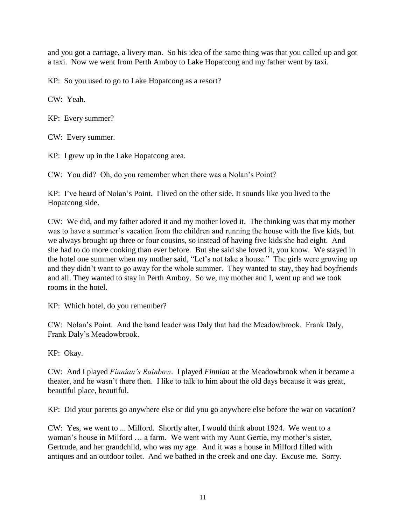and you got a carriage, a livery man. So his idea of the same thing was that you called up and got a taxi. Now we went from Perth Amboy to Lake Hopatcong and my father went by taxi.

KP: So you used to go to Lake Hopatcong as a resort?

CW: Yeah.

KP: Every summer?

CW: Every summer.

KP: I grew up in the Lake Hopatcong area.

CW: You did? Oh, do you remember when there was a Nolan's Point?

KP: I've heard of Nolan's Point. I lived on the other side. It sounds like you lived to the Hopatcong side.

CW: We did, and my father adored it and my mother loved it. The thinking was that my mother was to have a summer's vacation from the children and running the house with the five kids, but we always brought up three or four cousins, so instead of having five kids she had eight. And she had to do more cooking than ever before. But she said she loved it, you know. We stayed in the hotel one summer when my mother said, "Let's not take a house." The girls were growing up and they didn't want to go away for the whole summer. They wanted to stay, they had boyfriends and all. They wanted to stay in Perth Amboy. So we, my mother and I, went up and we took rooms in the hotel.

KP: Which hotel, do you remember?

CW: Nolan's Point. And the band leader was Daly that had the Meadowbrook. Frank Daly, Frank Daly's Meadowbrook.

KP: Okay.

CW: And I played *Finnian's Rainbow*. I played *Finnian* at the Meadowbrook when it became a theater, and he wasn't there then. I like to talk to him about the old days because it was great, beautiful place, beautiful.

KP: Did your parents go anywhere else or did you go anywhere else before the war on vacation?

CW: Yes, we went to ... Milford. Shortly after, I would think about 1924. We went to a woman's house in Milford … a farm. We went with my Aunt Gertie, my mother's sister, Gertrude, and her grandchild, who was my age. And it was a house in Milford filled with antiques and an outdoor toilet. And we bathed in the creek and one day. Excuse me. Sorry.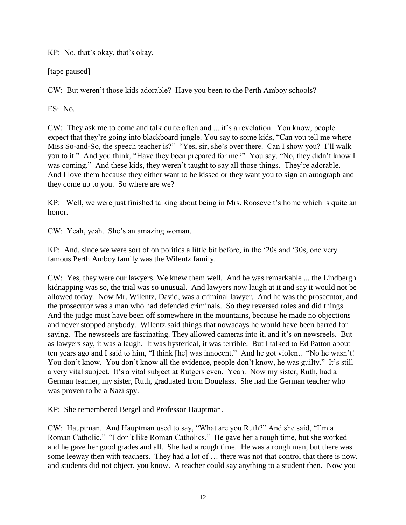KP: No, that's okay, that's okay.

[tape paused]

CW: But weren't those kids adorable? Have you been to the Perth Amboy schools?

ES: No.

CW: They ask me to come and talk quite often and ... it's a revelation. You know, people expect that they're going into blackboard jungle. You say to some kids, "Can you tell me where Miss So-and-So, the speech teacher is?" "Yes, sir, she's over there. Can I show you? I'll walk you to it." And you think, "Have they been prepared for me?" You say, "No, they didn't know I was coming." And these kids, they weren't taught to say all those things. They're adorable. And I love them because they either want to be kissed or they want you to sign an autograph and they come up to you. So where are we?

KP: Well, we were just finished talking about being in Mrs. Roosevelt's home which is quite an honor.

CW: Yeah, yeah. She's an amazing woman.

KP: And, since we were sort of on politics a little bit before, in the '20s and '30s, one very famous Perth Amboy family was the Wilentz family.

CW: Yes, they were our lawyers. We knew them well. And he was remarkable ... the Lindbergh kidnapping was so, the trial was so unusual. And lawyers now laugh at it and say it would not be allowed today. Now Mr. Wilentz, David, was a criminal lawyer. And he was the prosecutor, and the prosecutor was a man who had defended criminals. So they reversed roles and did things. And the judge must have been off somewhere in the mountains, because he made no objections and never stopped anybody. Wilentz said things that nowadays he would have been barred for saying. The newsreels are fascinating. They allowed cameras into it, and it's on newsreels. But as lawyers say, it was a laugh. It was hysterical, it was terrible. But I talked to Ed Patton about ten years ago and I said to him, "I think [he] was innocent." And he got violent. "No he wasn't! You don't know. You don't know all the evidence, people don't know, he was guilty." It's still a very vital subject. It's a vital subject at Rutgers even. Yeah. Now my sister, Ruth, had a German teacher, my sister, Ruth, graduated from Douglass. She had the German teacher who was proven to be a Nazi spy.

KP: She remembered Bergel and Professor Hauptman.

CW: Hauptman. And Hauptman used to say, "What are you Ruth?" And she said, "I'm a Roman Catholic." "I don't like Roman Catholics." He gave her a rough time, but she worked and he gave her good grades and all. She had a rough time. He was a rough man, but there was some leeway then with teachers. They had a lot of … there was not that control that there is now, and students did not object, you know. A teacher could say anything to a student then. Now you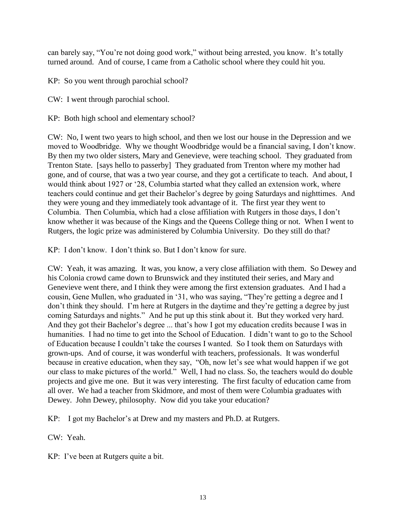can barely say, "You're not doing good work," without being arrested, you know. It's totally turned around. And of course, I came from a Catholic school where they could hit you.

KP: So you went through parochial school?

CW: I went through parochial school.

KP: Both high school and elementary school?

CW: No, I went two years to high school, and then we lost our house in the Depression and we moved to Woodbridge. Why we thought Woodbridge would be a financial saving, I don't know. By then my two older sisters, Mary and Genevieve, were teaching school. They graduated from Trenton State. [says hello to passerby] They graduated from Trenton where my mother had gone, and of course, that was a two year course, and they got a certificate to teach. And about, I would think about 1927 or '28, Columbia started what they called an extension work, where teachers could continue and get their Bachelor's degree by going Saturdays and nighttimes. And they were young and they immediately took advantage of it. The first year they went to Columbia. Then Columbia, which had a close affiliation with Rutgers in those days, I don't know whether it was because of the Kings and the Queens College thing or not. When I went to Rutgers, the logic prize was administered by Columbia University. Do they still do that?

KP: I don't know. I don't think so. But I don't know for sure.

CW: Yeah, it was amazing. It was, you know, a very close affiliation with them. So Dewey and his Colonia crowd came down to Brunswick and they instituted their series, and Mary and Genevieve went there, and I think they were among the first extension graduates. And I had a cousin, Gene Mullen, who graduated in '31, who was saying, "They're getting a degree and I don't think they should. I'm here at Rutgers in the daytime and they're getting a degree by just coming Saturdays and nights." And he put up this stink about it. But they worked very hard. And they got their Bachelor's degree ... that's how I got my education credits because I was in humanities. I had no time to get into the School of Education. I didn't want to go to the School of Education because I couldn't take the courses I wanted. So I took them on Saturdays with grown-ups. And of course, it was wonderful with teachers, professionals. It was wonderful because in creative education, when they say, "Oh, now let's see what would happen if we got our class to make pictures of the world." Well, I had no class. So, the teachers would do double projects and give me one. But it was very interesting. The first faculty of education came from all over. We had a teacher from Skidmore, and most of them were Columbia graduates with Dewey. John Dewey, philosophy. Now did you take your education?

KP: I got my Bachelor's at Drew and my masters and Ph.D. at Rutgers.

CW: Yeah.

KP: I've been at Rutgers quite a bit.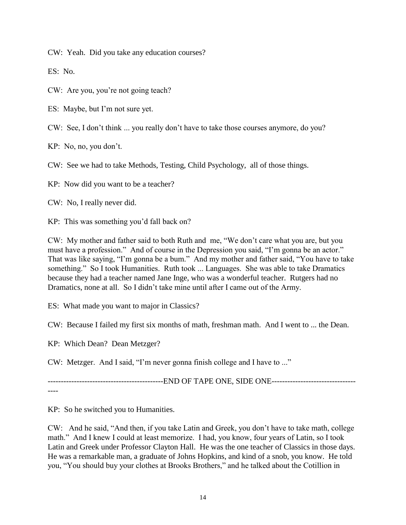CW: Yeah. Did you take any education courses?

ES: No.

CW: Are you, you're not going teach?

ES: Maybe, but I'm not sure yet.

CW: See, I don't think ... you really don't have to take those courses anymore, do you?

KP: No, no, you don't.

CW: See we had to take Methods, Testing, Child Psychology, all of those things.

KP: Now did you want to be a teacher?

CW: No, I really never did.

KP: This was something you'd fall back on?

CW: My mother and father said to both Ruth and me, "We don't care what you are, but you must have a profession." And of course in the Depression you said, "I'm gonna be an actor." That was like saying, "I'm gonna be a bum." And my mother and father said, "You have to take something." So I took Humanities. Ruth took ... Languages. She was able to take Dramatics because they had a teacher named Jane Inge, who was a wonderful teacher. Rutgers had no Dramatics, none at all. So I didn't take mine until after I came out of the Army.

ES: What made you want to major in Classics?

CW: Because I failed my first six months of math, freshman math. And I went to ... the Dean.

KP: Which Dean? Dean Metzger?

CW: Metzger. And I said, "I'm never gonna finish college and I have to ..."

----------------------------------END OF TAPE ONE, SIDE ONE--------------------------------

----

KP: So he switched you to Humanities.

CW: And he said, "And then, if you take Latin and Greek, you don't have to take math, college math." And I knew I could at least memorize. I had, you know, four years of Latin, so I took Latin and Greek under Professor Clayton Hall. He was the one teacher of Classics in those days. He was a remarkable man, a graduate of Johns Hopkins, and kind of a snob, you know. He told you, "You should buy your clothes at Brooks Brothers," and he talked about the Cotillion in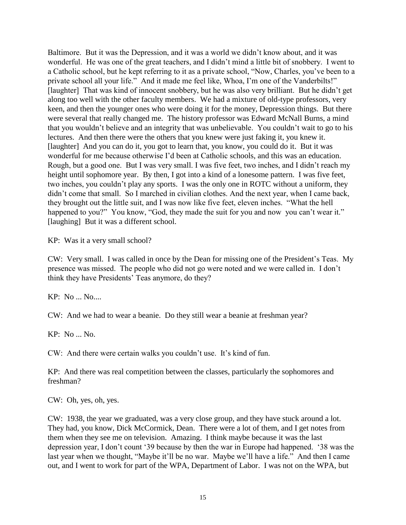Baltimore. But it was the Depression, and it was a world we didn't know about, and it was wonderful. He was one of the great teachers, and I didn't mind a little bit of snobbery. I went to a Catholic school, but he kept referring to it as a private school, "Now, Charles, you've been to a private school all your life." And it made me feel like, Whoa, I'm one of the Vanderbilts!" [laughter] That was kind of innocent snobbery, but he was also very brilliant. But he didn't get along too well with the other faculty members. We had a mixture of old-type professors, very keen, and then the younger ones who were doing it for the money, Depression things. But there were several that really changed me. The history professor was Edward McNall Burns, a mind that you wouldn't believe and an integrity that was unbelievable. You couldn't wait to go to his lectures. And then there were the others that you knew were just faking it, you knew it. [laughter] And you can do it, you got to learn that, you know, you could do it. But it was wonderful for me because otherwise I'd been at Catholic schools, and this was an education. Rough, but a good one. But I was very small. I was five feet, two inches, and I didn't reach my height until sophomore year. By then, I got into a kind of a lonesome pattern. I was five feet, two inches, you couldn't play any sports. I was the only one in ROTC without a uniform, they didn't come that small. So I marched in civilian clothes. And the next year, when I came back, they brought out the little suit, and I was now like five feet, eleven inches. "What the hell happened to you?" You know, "God, they made the suit for you and now you can't wear it." [laughing] But it was a different school.

KP: Was it a very small school?

CW: Very small. I was called in once by the Dean for missing one of the President's Teas. My presence was missed. The people who did not go were noted and we were called in. I don't think they have Presidents' Teas anymore, do they?

KP: No ... No....

CW: And we had to wear a beanie. Do they still wear a beanie at freshman year?

KP: No ... No.

CW: And there were certain walks you couldn't use. It's kind of fun.

KP: And there was real competition between the classes, particularly the sophomores and freshman?

CW: Oh, yes, oh, yes.

CW: 1938, the year we graduated, was a very close group, and they have stuck around a lot. They had, you know, Dick McCormick, Dean. There were a lot of them, and I get notes from them when they see me on television. Amazing. I think maybe because it was the last depression year, I don't count '39 because by then the war in Europe had happened. '38 was the last year when we thought, "Maybe it'll be no war. Maybe we'll have a life." And then I came out, and I went to work for part of the WPA, Department of Labor. I was not on the WPA, but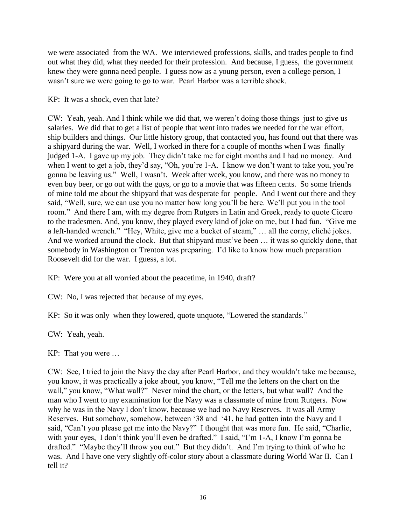we were associated from the WA. We interviewed professions, skills, and trades people to find out what they did, what they needed for their profession. And because, I guess, the government knew they were gonna need people. I guess now as a young person, even a college person, I wasn't sure we were going to go to war. Pearl Harbor was a terrible shock.

# KP: It was a shock, even that late?

CW: Yeah, yeah. And I think while we did that, we weren't doing those things just to give us salaries. We did that to get a list of people that went into trades we needed for the war effort, ship builders and things. Our little history group, that contacted you, has found out that there was a shipyard during the war. Well, I worked in there for a couple of months when I was finally judged 1-A. I gave up my job. They didn't take me for eight months and I had no money. And when I went to get a job, they'd say, "Oh, you're 1-A. I know we don't want to take you, you're gonna be leaving us." Well, I wasn't. Week after week, you know, and there was no money to even buy beer, or go out with the guys, or go to a movie that was fifteen cents. So some friends of mine told me about the shipyard that was desperate for people. And I went out there and they said, "Well, sure, we can use you no matter how long you'll be here. We'll put you in the tool room." And there I am, with my degree from Rutgers in Latin and Greek, ready to quote Cicero to the tradesmen. And, you know, they played every kind of joke on me, but I had fun. "Give me a left-handed wrench." "Hey, White, give me a bucket of steam," … all the corny, cliché jokes. And we worked around the clock. But that shipyard must've been … it was so quickly done, that somebody in Washington or Trenton was preparing. I'd like to know how much preparation Roosevelt did for the war. I guess, a lot.

KP: Were you at all worried about the peacetime, in 1940, draft?

CW: No, I was rejected that because of my eyes.

KP: So it was only when they lowered, quote unquote, "Lowered the standards."

CW: Yeah, yeah.

KP: That you were …

CW: See, I tried to join the Navy the day after Pearl Harbor, and they wouldn't take me because, you know, it was practically a joke about, you know, "Tell me the letters on the chart on the wall," you know, "What wall?" Never mind the chart, or the letters, but what wall? And the man who I went to my examination for the Navy was a classmate of mine from Rutgers. Now why he was in the Navy I don't know, because we had no Navy Reserves. It was all Army Reserves. But somehow, somehow, between '38 and '41, he had gotten into the Navy and I said, "Can't you please get me into the Navy?" I thought that was more fun. He said, "Charlie, with your eyes, I don't think you'll even be drafted." I said, "I'm 1-A, I know I'm gonna be drafted." "Maybe they'll throw you out." But they didn't. And I'm trying to think of who he was. And I have one very slightly off-color story about a classmate during World War II. Can I tell it?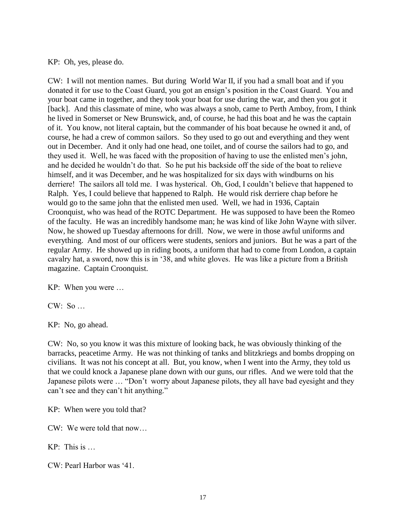KP: Oh, yes, please do.

CW: I will not mention names. But during World War II, if you had a small boat and if you donated it for use to the Coast Guard, you got an ensign's position in the Coast Guard. You and your boat came in together, and they took your boat for use during the war, and then you got it [back]. And this classmate of mine, who was always a snob, came to Perth Amboy, from, I think he lived in Somerset or New Brunswick, and, of course, he had this boat and he was the captain of it. You know, not literal captain, but the commander of his boat because he owned it and, of course, he had a crew of common sailors. So they used to go out and everything and they went out in December. And it only had one head, one toilet, and of course the sailors had to go, and they used it. Well, he was faced with the proposition of having to use the enlisted men's john, and he decided he wouldn't do that. So he put his backside off the side of the boat to relieve himself, and it was December, and he was hospitalized for six days with windburns on his derriere! The sailors all told me. I was hysterical. Oh, God, I couldn't believe that happened to Ralph. Yes, I could believe that happened to Ralph. He would risk derriere chap before he would go to the same john that the enlisted men used. Well, we had in 1936, Captain Croonquist, who was head of the ROTC Department. He was supposed to have been the Romeo of the faculty. He was an incredibly handsome man; he was kind of like John Wayne with silver. Now, he showed up Tuesday afternoons for drill. Now, we were in those awful uniforms and everything. And most of our officers were students, seniors and juniors. But he was a part of the regular Army. He showed up in riding boots, a uniform that had to come from London, a captain cavalry hat, a sword, now this is in '38, and white gloves. He was like a picture from a British magazine. Captain Croonquist.

KP: When you were …

 $CW: So...$ 

KP: No, go ahead.

CW: No, so you know it was this mixture of looking back, he was obviously thinking of the barracks, peacetime Army. He was not thinking of tanks and blitzkriegs and bombs dropping on civilians. It was not his concept at all. But, you know, when I went into the Army, they told us that we could knock a Japanese plane down with our guns, our rifles. And we were told that the Japanese pilots were … "Don't worry about Japanese pilots, they all have bad eyesight and they can't see and they can't hit anything."

KP: When were you told that?

CW: We were told that now…

 $KP$  This is

CW: Pearl Harbor was '41.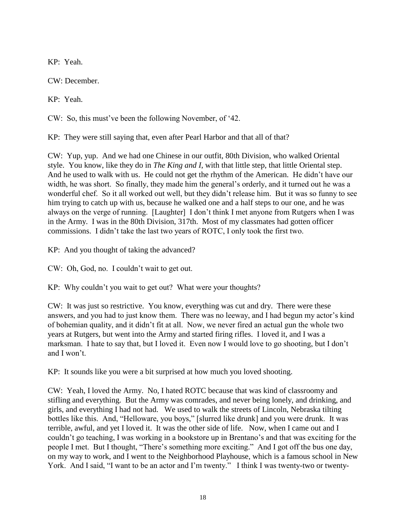KP: Yeah.

CW: December.

KP: Yeah.

CW: So, this must've been the following November, of '42.

KP: They were still saying that, even after Pearl Harbor and that all of that?

CW: Yup, yup. And we had one Chinese in our outfit, 80th Division, who walked Oriental style. You know, like they do in *The King and I*, with that little step, that little Oriental step. And he used to walk with us. He could not get the rhythm of the American. He didn't have our width, he was short. So finally, they made him the general's orderly, and it turned out he was a wonderful chef. So it all worked out well, but they didn't release him. But it was so funny to see him trying to catch up with us, because he walked one and a half steps to our one, and he was always on the verge of running. [Laughter] I don't think I met anyone from Rutgers when I was in the Army. I was in the 80th Division, 317th. Most of my classmates had gotten officer commissions. I didn't take the last two years of ROTC, I only took the first two.

KP: And you thought of taking the advanced?

CW: Oh, God, no. I couldn't wait to get out.

KP: Why couldn't you wait to get out? What were your thoughts?

CW: It was just so restrictive. You know, everything was cut and dry. There were these answers, and you had to just know them. There was no leeway, and I had begun my actor's kind of bohemian quality, and it didn't fit at all. Now, we never fired an actual gun the whole two years at Rutgers, but went into the Army and started firing rifles. I loved it, and I was a marksman. I hate to say that, but I loved it. Even now I would love to go shooting, but I don't and I won't.

KP: It sounds like you were a bit surprised at how much you loved shooting.

CW: Yeah, I loved the Army. No, I hated ROTC because that was kind of classroomy and stifling and everything. But the Army was comrades, and never being lonely, and drinking, and girls, and everything I had not had. We used to walk the streets of Lincoln, Nebraska tilting bottles like this. And, "Helloware, you boys," [slurred like drunk] and you were drunk. It was terrible, awful, and yet I loved it. It was the other side of life. Now, when I came out and I couldn't go teaching, I was working in a bookstore up in Brentano's and that was exciting for the people I met. But I thought, "There's something more exciting." And I got off the bus one day, on my way to work, and I went to the Neighborhood Playhouse, which is a famous school in New York. And I said, "I want to be an actor and I'm twenty." I think I was twenty-two or twenty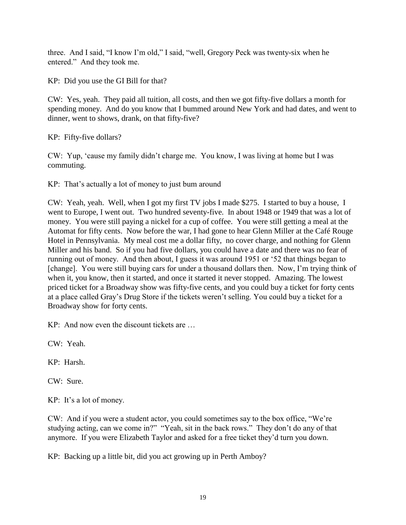three. And I said, "I know I'm old," I said, "well, Gregory Peck was twenty-six when he entered." And they took me.

KP: Did you use the GI Bill for that?

CW: Yes, yeah. They paid all tuition, all costs, and then we got fifty-five dollars a month for spending money. And do you know that I bummed around New York and had dates, and went to dinner, went to shows, drank, on that fifty-five?

KP: Fifty-five dollars?

CW: Yup, 'cause my family didn't charge me. You know, I was living at home but I was commuting.

KP: That's actually a lot of money to just bum around

CW: Yeah, yeah. Well, when I got my first TV jobs I made \$275. I started to buy a house, I went to Europe, I went out. Two hundred seventy-five. In about 1948 or 1949 that was a lot of money. You were still paying a nickel for a cup of coffee. You were still getting a meal at the Automat for fifty cents. Now before the war, I had gone to hear Glenn Miller at the Café Rouge Hotel in Pennsylvania. My meal cost me a dollar fifty, no cover charge, and nothing for Glenn Miller and his band. So if you had five dollars, you could have a date and there was no fear of running out of money. And then about, I guess it was around 1951 or '52 that things began to [change]. You were still buying cars for under a thousand dollars then. Now, I'm trying think of when it, you know, then it started, and once it started it never stopped. Amazing. The lowest priced ticket for a Broadway show was fifty-five cents, and you could buy a ticket for forty cents at a place called Gray's Drug Store if the tickets weren't selling. You could buy a ticket for a Broadway show for forty cents.

KP: And now even the discount tickets are …

CW: Yeah.

KP: Harsh.

CW: Sure.

KP: It's a lot of money.

CW: And if you were a student actor, you could sometimes say to the box office, "We're studying acting, can we come in?" "Yeah, sit in the back rows." They don't do any of that anymore. If you were Elizabeth Taylor and asked for a free ticket they'd turn you down.

KP: Backing up a little bit, did you act growing up in Perth Amboy?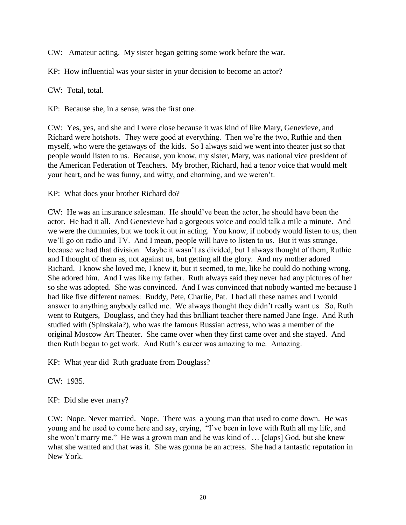CW: Amateur acting. My sister began getting some work before the war.

KP: How influential was your sister in your decision to become an actor?

CW: Total, total.

KP: Because she, in a sense, was the first one.

CW: Yes, yes, and she and I were close because it was kind of like Mary, Genevieve, and Richard were hotshots. They were good at everything. Then we're the two, Ruthie and then myself, who were the getaways of the kids. So I always said we went into theater just so that people would listen to us. Because, you know, my sister, Mary, was national vice president of the American Federation of Teachers. My brother, Richard, had a tenor voice that would melt your heart, and he was funny, and witty, and charming, and we weren't.

KP: What does your brother Richard do?

CW: He was an insurance salesman. He should've been the actor, he should have been the actor. He had it all. And Genevieve had a gorgeous voice and could talk a mile a minute. And we were the dummies, but we took it out in acting. You know, if nobody would listen to us, then we'll go on radio and TV. And I mean, people will have to listen to us. But it was strange, because we had that division. Maybe it wasn't as divided, but I always thought of them, Ruthie and I thought of them as, not against us, but getting all the glory. And my mother adored Richard. I know she loved me, I knew it, but it seemed, to me, like he could do nothing wrong. She adored him. And I was like my father. Ruth always said they never had any pictures of her so she was adopted. She was convinced. And I was convinced that nobody wanted me because I had like five different names: Buddy, Pete, Charlie, Pat. I had all these names and I would answer to anything anybody called me. We always thought they didn't really want us. So, Ruth went to Rutgers, Douglass, and they had this brilliant teacher there named Jane Inge. And Ruth studied with (Spinskaia?), who was the famous Russian actress, who was a member of the original Moscow Art Theater. She came over when they first came over and she stayed. And then Ruth began to get work. And Ruth's career was amazing to me. Amazing.

KP: What year did Ruth graduate from Douglass?

CW: 1935.

KP: Did she ever marry?

CW: Nope. Never married. Nope. There was a young man that used to come down. He was young and he used to come here and say, crying, "I've been in love with Ruth all my life, and she won't marry me." He was a grown man and he was kind of … [claps] God, but she knew what she wanted and that was it. She was gonna be an actress. She had a fantastic reputation in New York.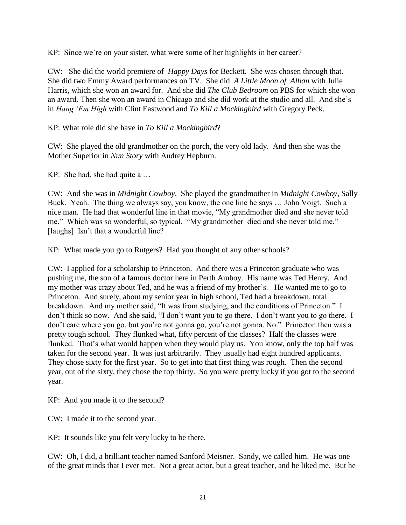KP: Since we're on your sister, what were some of her highlights in her career?

CW: She did the world premiere of *Happy Days* for Beckett. She was chosen through that. She did two Emmy Award performances on TV. She did *A Little Moon of Alban* with Julie Harris, which she won an award for. And she did *The Club Bedroom* on PBS for which she won an award. Then she won an award in Chicago and she did work at the studio and all. And she's in *Hang 'Em High* with Clint Eastwood and *To Kill a Mockingbird* with Gregory Peck.

KP: What role did she have in *To Kill a Mockingbird*?

CW: She played the old grandmother on the porch, the very old lady. And then she was the Mother Superior in *Nun Story* with Audrey Hepburn.

KP: She had, she had quite a …

CW: And she was in *Midnight Cowboy*. She played the grandmother in *Midnight Cowboy*, Sally Buck. Yeah. The thing we always say, you know, the one line he says … John Voigt. Such a nice man. He had that wonderful line in that movie, "My grandmother died and she never told me." Which was so wonderful, so typical. "My grandmother died and she never told me." [laughs] Isn't that a wonderful line?

KP: What made you go to Rutgers? Had you thought of any other schools?

CW: I applied for a scholarship to Princeton. And there was a Princeton graduate who was pushing me, the son of a famous doctor here in Perth Amboy. His name was Ted Henry. And my mother was crazy about Ted, and he was a friend of my brother's. He wanted me to go to Princeton. And surely, about my senior year in high school, Ted had a breakdown, total breakdown. And my mother said, "It was from studying, and the conditions of Princeton." I don't think so now. And she said, "I don't want you to go there. I don't want you to go there. I don't care where you go, but you're not gonna go, you're not gonna. No." Princeton then was a pretty tough school. They flunked what, fifty percent of the classes? Half the classes were flunked. That's what would happen when they would play us. You know, only the top half was taken for the second year. It was just arbitrarily. They usually had eight hundred applicants. They chose sixty for the first year. So to get into that first thing was rough. Then the second year, out of the sixty, they chose the top thirty. So you were pretty lucky if you got to the second year.

KP: And you made it to the second?

CW: I made it to the second year.

KP: It sounds like you felt very lucky to be there.

CW: Oh, I did, a brilliant teacher named Sanford Meisner. Sandy, we called him. He was one of the great minds that I ever met. Not a great actor, but a great teacher, and he liked me. But he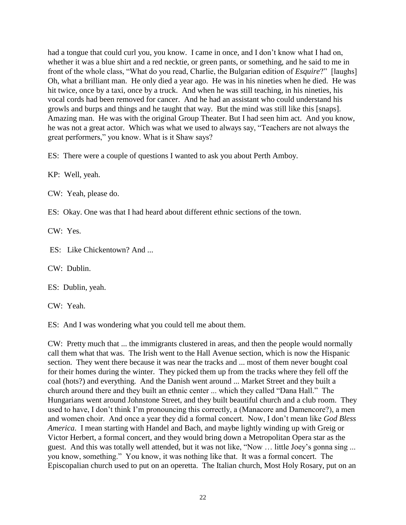had a tongue that could curl you, you know. I came in once, and I don't know what I had on, whether it was a blue shirt and a red necktie, or green pants, or something, and he said to me in front of the whole class, "What do you read, Charlie, the Bulgarian edition of *Esquire*?" [laughs] Oh, what a brilliant man. He only died a year ago. He was in his nineties when he died. He was hit twice, once by a taxi, once by a truck. And when he was still teaching, in his nineties, his vocal cords had been removed for cancer. And he had an assistant who could understand his growls and burps and things and he taught that way. But the mind was still like this [snaps]. Amazing man. He was with the original Group Theater. But I had seen him act. And you know, he was not a great actor. Which was what we used to always say, "Teachers are not always the great performers," you know. What is it Shaw says?

ES: There were a couple of questions I wanted to ask you about Perth Amboy.

KP: Well, yeah.

CW: Yeah, please do.

ES: Okay. One was that I had heard about different ethnic sections of the town.

CW: Yes.

ES: Like Chickentown? And ...

CW: Dublin.

ES: Dublin, yeah.

CW: Yeah.

ES: And I was wondering what you could tell me about them.

CW: Pretty much that ... the immigrants clustered in areas, and then the people would normally call them what that was. The Irish went to the Hall Avenue section, which is now the Hispanic section. They went there because it was near the tracks and ... most of them never bought coal for their homes during the winter. They picked them up from the tracks where they fell off the coal (hots?) and everything. And the Danish went around ... Market Street and they built a church around there and they built an ethnic center ... which they called "Dana Hall." The Hungarians went around Johnstone Street, and they built beautiful church and a club room. They used to have, I don't think I'm pronouncing this correctly, a (Manacore and Damencore?), a men and women choir. And once a year they did a formal concert. Now, I don't mean like *God Bless America*. I mean starting with Handel and Bach, and maybe lightly winding up with Greig or Victor Herbert, a formal concert, and they would bring down a Metropolitan Opera star as the guest. And this was totally well attended, but it was not like, "Now … little Joey's gonna sing ... you know, something." You know, it was nothing like that. It was a formal concert. The Episcopalian church used to put on an operetta. The Italian church, Most Holy Rosary, put on an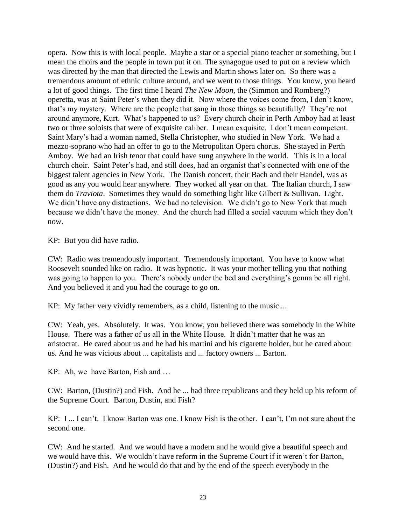opera. Now this is with local people. Maybe a star or a special piano teacher or something, but I mean the choirs and the people in town put it on. The synagogue used to put on a review which was directed by the man that directed the Lewis and Martin shows later on. So there was a tremendous amount of ethnic culture around, and we went to those things. You know, you heard a lot of good things. The first time I heard *The New Moon*, the (Simmon and Romberg?) operetta, was at Saint Peter's when they did it. Now where the voices come from, I don't know, that's my mystery. Where are the people that sang in those things so beautifully? They're not around anymore, Kurt. What's happened to us? Every church choir in Perth Amboy had at least two or three soloists that were of exquisite caliber. I mean exquisite. I don't mean competent. Saint Mary's had a woman named, Stella Christopher, who studied in New York. We had a mezzo-soprano who had an offer to go to the Metropolitan Opera chorus. She stayed in Perth Amboy. We had an Irish tenor that could have sung anywhere in the world. This is in a local church choir. Saint Peter's had, and still does, had an organist that's connected with one of the biggest talent agencies in New York. The Danish concert, their Bach and their Handel, was as good as any you would hear anywhere. They worked all year on that. The Italian church, I saw them do *Traviota*. Sometimes they would do something light like Gilbert & Sullivan. Light. We didn't have any distractions. We had no television. We didn't go to New York that much because we didn't have the money. And the church had filled a social vacuum which they don't now.

KP: But you did have radio.

CW: Radio was tremendously important. Tremendously important. You have to know what Roosevelt sounded like on radio. It was hypnotic. It was your mother telling you that nothing was going to happen to you. There's nobody under the bed and everything's gonna be all right. And you believed it and you had the courage to go on.

KP: My father very vividly remembers, as a child, listening to the music ...

CW: Yeah, yes. Absolutely. It was. You know, you believed there was somebody in the White House. There was a father of us all in the White House. It didn't matter that he was an aristocrat. He cared about us and he had his martini and his cigarette holder, but he cared about us. And he was vicious about ... capitalists and ... factory owners ... Barton.

KP: Ah, we have Barton, Fish and …

CW: Barton, (Dustin?) and Fish. And he ... had three republicans and they held up his reform of the Supreme Court. Barton, Dustin, and Fish?

KP: I ... I can't. I know Barton was one. I know Fish is the other. I can't, I'm not sure about the second one.

CW: And he started. And we would have a modern and he would give a beautiful speech and we would have this. We wouldn't have reform in the Supreme Court if it weren't for Barton, (Dustin?) and Fish. And he would do that and by the end of the speech everybody in the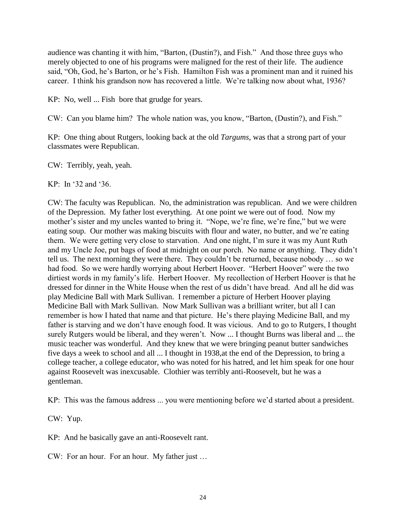audience was chanting it with him, "Barton, (Dustin?), and Fish." And those three guys who merely objected to one of his programs were maligned for the rest of their life. The audience said, "Oh, God, he's Barton, or he's Fish. Hamilton Fish was a prominent man and it ruined his career. I think his grandson now has recovered a little. We're talking now about what, 1936?

KP: No, well ... Fish bore that grudge for years.

CW: Can you blame him? The whole nation was, you know, "Barton, (Dustin?), and Fish."

KP: One thing about Rutgers, looking back at the old *Targums*, was that a strong part of your classmates were Republican.

CW: Terribly, yeah, yeah.

 $KP^{\text{th}}$  In '32 and '36.

CW: The faculty was Republican. No, the administration was republican. And we were children of the Depression. My father lost everything. At one point we were out of food. Now my mother's sister and my uncles wanted to bring it. "Nope, we're fine, we're fine," but we were eating soup. Our mother was making biscuits with flour and water, no butter, and we're eating them. We were getting very close to starvation. And one night, I'm sure it was my Aunt Ruth and my Uncle Joe, put bags of food at midnight on our porch. No name or anything. They didn't tell us. The next morning they were there. They couldn't be returned, because nobody … so we had food. So we were hardly worrying about Herbert Hoover. "Herbert Hoover" were the two dirtiest words in my family's life. Herbert Hoover. My recollection of Herbert Hoover is that he dressed for dinner in the White House when the rest of us didn't have bread. And all he did was play Medicine Ball with Mark Sullivan. I remember a picture of Herbert Hoover playing Medicine Ball with Mark Sullivan. Now Mark Sullivan was a brilliant writer, but all I can remember is how I hated that name and that picture. He's there playing Medicine Ball, and my father is starving and we don't have enough food. It was vicious. And to go to Rutgers, I thought surely Rutgers would be liberal, and they weren't. Now ... I thought Burns was liberal and ... the music teacher was wonderful. And they knew that we were bringing peanut butter sandwiches five days a week to school and all ... I thought in 1938,at the end of the Depression, to bring a college teacher, a college educator, who was noted for his hatred, and let him speak for one hour against Roosevelt was inexcusable. Clothier was terribly anti-Roosevelt, but he was a gentleman.

KP: This was the famous address ... you were mentioning before we'd started about a president.

CW: Yup.

KP: And he basically gave an anti-Roosevelt rant.

CW: For an hour. For an hour. My father just …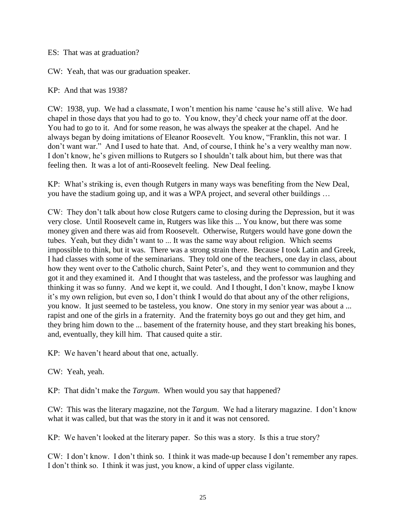ES: That was at graduation?

CW: Yeah, that was our graduation speaker.

KP: And that was 1938?

CW: 1938, yup. We had a classmate, I won't mention his name 'cause he's still alive. We had chapel in those days that you had to go to. You know, they'd check your name off at the door. You had to go to it. And for some reason, he was always the speaker at the chapel. And he always began by doing imitations of Eleanor Roosevelt. You know, "Franklin, this not war. I don't want war." And I used to hate that. And, of course, I think he's a very wealthy man now. I don't know, he's given millions to Rutgers so I shouldn't talk about him, but there was that feeling then. It was a lot of anti-Roosevelt feeling. New Deal feeling.

KP: What's striking is, even though Rutgers in many ways was benefiting from the New Deal, you have the stadium going up, and it was a WPA project, and several other buildings …

CW: They don't talk about how close Rutgers came to closing during the Depression, but it was very close. Until Roosevelt came in, Rutgers was like this ... You know, but there was some money given and there was aid from Roosevelt. Otherwise, Rutgers would have gone down the tubes. Yeah, but they didn't want to ... It was the same way about religion. Which seems impossible to think, but it was. There was a strong strain there. Because I took Latin and Greek, I had classes with some of the seminarians. They told one of the teachers, one day in class, about how they went over to the Catholic church, Saint Peter's, and they went to communion and they got it and they examined it. And I thought that was tasteless, and the professor was laughing and thinking it was so funny. And we kept it, we could. And I thought, I don't know, maybe I know it's my own religion, but even so, I don't think I would do that about any of the other religions, you know. It just seemed to be tasteless, you know. One story in my senior year was about a ... rapist and one of the girls in a fraternity. And the fraternity boys go out and they get him, and they bring him down to the ... basement of the fraternity house, and they start breaking his bones, and, eventually, they kill him. That caused quite a stir.

KP: We haven't heard about that one, actually.

CW: Yeah, yeah.

KP: That didn't make the *Targum*. When would you say that happened?

CW: This was the literary magazine, not the *Targum*. We had a literary magazine. I don't know what it was called, but that was the story in it and it was not censored.

KP: We haven't looked at the literary paper. So this was a story. Is this a true story?

CW: I don't know. I don't think so. I think it was made-up because I don't remember any rapes. I don't think so. I think it was just, you know, a kind of upper class vigilante.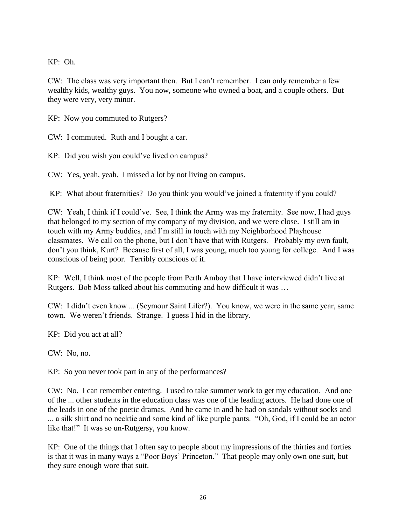KP: Oh.

CW: The class was very important then. But I can't remember. I can only remember a few wealthy kids, wealthy guys. You now, someone who owned a boat, and a couple others. But they were very, very minor.

KP: Now you commuted to Rutgers?

CW: I commuted. Ruth and I bought a car.

KP: Did you wish you could've lived on campus?

CW: Yes, yeah, yeah. I missed a lot by not living on campus.

KP: What about fraternities? Do you think you would've joined a fraternity if you could?

CW: Yeah, I think if I could've. See, I think the Army was my fraternity. See now, I had guys that belonged to my section of my company of my division, and we were close. I still am in touch with my Army buddies, and I'm still in touch with my Neighborhood Playhouse classmates. We call on the phone, but I don't have that with Rutgers. Probably my own fault, don't you think, Kurt? Because first of all, I was young, much too young for college. And I was conscious of being poor. Terribly conscious of it.

KP: Well, I think most of the people from Perth Amboy that I have interviewed didn't live at Rutgers. Bob Moss talked about his commuting and how difficult it was …

CW: I didn't even know ... (Seymour Saint Lifer?). You know, we were in the same year, same town. We weren't friends. Strange. I guess I hid in the library.

KP: Did you act at all?

CW: No, no.

KP: So you never took part in any of the performances?

CW: No. I can remember entering. I used to take summer work to get my education. And one of the ... other students in the education class was one of the leading actors. He had done one of the leads in one of the poetic dramas. And he came in and he had on sandals without socks and ... a silk shirt and no necktie and some kind of like purple pants. "Oh, God, if I could be an actor like that!" It was so un-Rutgersy, you know.

KP: One of the things that I often say to people about my impressions of the thirties and forties is that it was in many ways a "Poor Boys' Princeton." That people may only own one suit, but they sure enough wore that suit.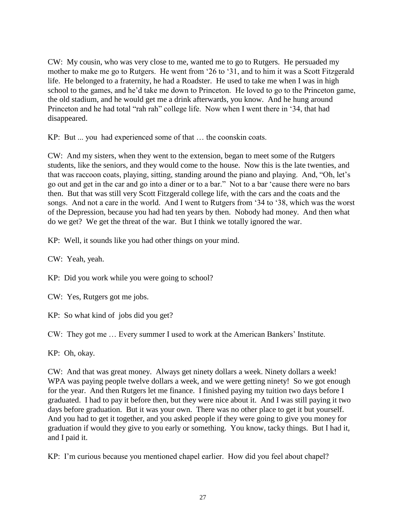CW: My cousin, who was very close to me, wanted me to go to Rutgers. He persuaded my mother to make me go to Rutgers. He went from '26 to '31, and to him it was a Scott Fitzgerald life. He belonged to a fraternity, he had a Roadster. He used to take me when I was in high school to the games, and he'd take me down to Princeton. He loved to go to the Princeton game, the old stadium, and he would get me a drink afterwards, you know. And he hung around Princeton and he had total "rah rah" college life. Now when I went there in '34, that had disappeared.

KP: But ... you had experienced some of that … the coonskin coats.

CW: And my sisters, when they went to the extension, began to meet some of the Rutgers students, like the seniors, and they would come to the house. Now this is the late twenties, and that was raccoon coats, playing, sitting, standing around the piano and playing. And, "Oh, let's go out and get in the car and go into a diner or to a bar." Not to a bar 'cause there were no bars then. But that was still very Scott Fitzgerald college life, with the cars and the coats and the songs. And not a care in the world. And I went to Rutgers from '34 to '38, which was the worst of the Depression, because you had had ten years by then. Nobody had money. And then what do we get? We get the threat of the war. But I think we totally ignored the war.

KP: Well, it sounds like you had other things on your mind.

CW: Yeah, yeah.

KP: Did you work while you were going to school?

CW: Yes, Rutgers got me jobs.

KP: So what kind of jobs did you get?

CW: They got me … Every summer I used to work at the American Bankers' Institute.

KP: Oh, okay.

CW: And that was great money. Always get ninety dollars a week. Ninety dollars a week! WPA was paying people twelve dollars a week, and we were getting ninety! So we got enough for the year. And then Rutgers let me finance. I finished paying my tuition two days before I graduated. I had to pay it before then, but they were nice about it. And I was still paying it two days before graduation. But it was your own. There was no other place to get it but yourself. And you had to get it together, and you asked people if they were going to give you money for graduation if would they give to you early or something. You know, tacky things. But I had it, and I paid it.

KP: I'm curious because you mentioned chapel earlier. How did you feel about chapel?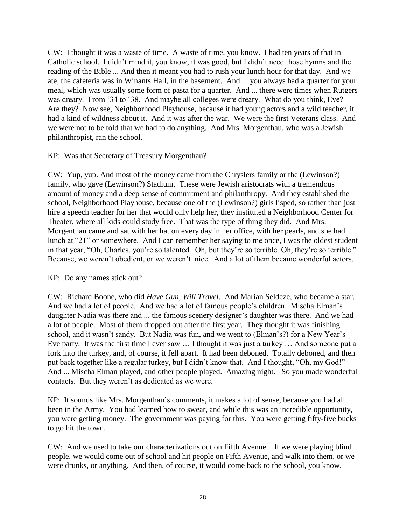CW: I thought it was a waste of time. A waste of time, you know. I had ten years of that in Catholic school. I didn't mind it, you know, it was good, but I didn't need those hymns and the reading of the Bible ... And then it meant you had to rush your lunch hour for that day. And we ate, the cafeteria was in Winants Hall, in the basement. And ... you always had a quarter for your meal, which was usually some form of pasta for a quarter. And ... there were times when Rutgers was dreary. From '34 to '38. And maybe all colleges were dreary. What do you think, Eve? Are they? Now see, Neighborhood Playhouse, because it had young actors and a wild teacher, it had a kind of wildness about it. And it was after the war. We were the first Veterans class. And we were not to be told that we had to do anything. And Mrs. Morgenthau, who was a Jewish philanthropist, ran the school.

### KP: Was that Secretary of Treasury Morgenthau?

CW: Yup, yup. And most of the money came from the Chryslers family or the (Lewinson?) family, who gave (Lewinson?) Stadium. These were Jewish aristocrats with a tremendous amount of money and a deep sense of commitment and philanthropy. And they established the school, Neighborhood Playhouse, because one of the (Lewinson?) girls lisped, so rather than just hire a speech teacher for her that would only help her, they instituted a Neighborhood Center for Theater, where all kids could study free. That was the type of thing they did. And Mrs. Morgenthau came and sat with her hat on every day in her office, with her pearls, and she had lunch at "21" or somewhere. And I can remember her saying to me once, I was the oldest student in that year, "Oh, Charles, you're so talented. Oh, but they're so terrible. Oh, they're so terrible." Because, we weren't obedient, or we weren't nice. And a lot of them became wonderful actors.

### KP: Do any names stick out?

CW: Richard Boone, who did *Have Gun, Will Travel*. And Marian Seldeze, who became a star. And we had a lot of people. And we had a lot of famous people's children. Mischa Elman's daughter Nadia was there and ... the famous scenery designer's daughter was there. And we had a lot of people. Most of them dropped out after the first year. They thought it was finishing school, and it wasn't sandy. But Nadia was fun, and we went to (Elman's?) for a New Year's Eve party. It was the first time I ever saw … I thought it was just a turkey … And someone put a fork into the turkey, and, of course, it fell apart. It had been deboned. Totally deboned, and then put back together like a regular turkey, but I didn't know that. And I thought, "Oh, my God!" And ... Mischa Elman played, and other people played. Amazing night. So you made wonderful contacts. But they weren't as dedicated as we were.

KP: It sounds like Mrs. Morgenthau's comments, it makes a lot of sense, because you had all been in the Army. You had learned how to swear, and while this was an incredible opportunity, you were getting money. The government was paying for this. You were getting fifty-five bucks to go hit the town.

CW: And we used to take our characterizations out on Fifth Avenue. If we were playing blind people, we would come out of school and hit people on Fifth Avenue, and walk into them, or we were drunks, or anything. And then, of course, it would come back to the school, you know.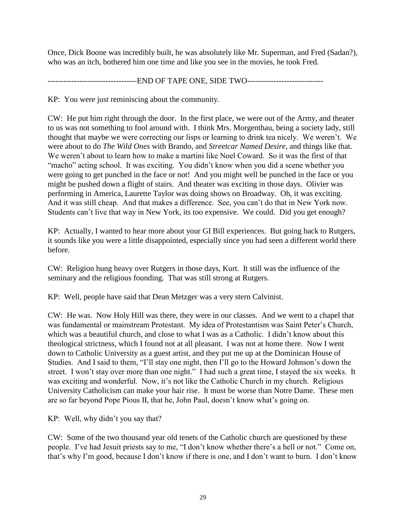Once, Dick Boone was incredibly built, he was absolutely like Mr. Superman, and Fred (Sadan?), who was an itch, bothered him one time and like you see in the movies, he took Fred.

----------------------------------END OF TAPE ONE, SIDE TWO-----------------------------

KP: You were just reminiscing about the community.

CW: He put him right through the door. In the first place, we were out of the Army, and theater to us was not something to fool around with. I think Mrs. Morgenthau, being a society lady, still thought that maybe we were correcting our lisps or learning to drink tea nicely. We weren't. We were about to do *The Wild Ones* with Brando, and *Streetcar Named Desire*, and things like that. We weren't about to learn how to make a martini like Noel Coward. So it was the first of that "macho" acting school. It was exciting. You didn't know when you did a scene whether you were going to get punched in the face or not! And you might well be punched in the face or you might be pushed down a flight of stairs. And theater was exciting in those days. Olivier was performing in America, Laurette Taylor was doing shows on Broadway. Oh, it was exciting. And it was still cheap. And that makes a difference. See, you can't do that in New York now. Students can't live that way in New York, its too expensive. We could. Did you get enough?

KP: Actually, I wanted to hear more about your GI Bill experiences. But going back to Rutgers, it sounds like you were a little disappointed, especially since you had seen a different world there before.

CW: Religion hung heavy over Rutgers in those days, Kurt. It still was the influence of the seminary and the religious founding. That was still strong at Rutgers.

KP: Well, people have said that Dean Metzger was a very stern Calvinist.

CW: He was. Now Holy Hill was there, they were in our classes. And we went to a chapel that was fundamental or mainstream Protestant. My idea of Protestantism was Saint Peter's Church, which was a beautiful church, and close to what I was as a Catholic. I didn't know about this theological strictness, which I found not at all pleasant. I was not at home there. Now I went down to Catholic University as a guest artist, and they put me up at the Dominican House of Studies. And I said to them, "I'll stay one night, then I'll go to the Howard Johnson's down the street. I won't stay over more than one night." I had such a great time, I stayed the six weeks. It was exciting and wonderful. Now, it's not like the Catholic Church in my church. Religious University Catholicism can make your hair rise. It must be worse than Notre Dame. These men are so far beyond Pope Pious II, that he, John Paul, doesn't know what's going on.

KP: Well, why didn't you say that?

CW: Some of the two thousand year old tenets of the Catholic church are questioned by these people. I've had Jesuit priests say to me, "I don't know whether there's a hell or not." Come on, that's why I'm good, because I don't know if there is one, and I don't want to burn. I don't know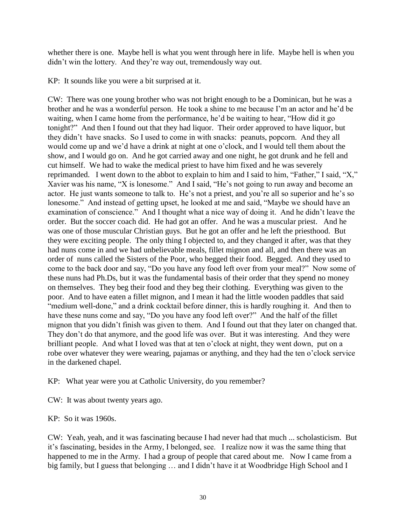whether there is one. Maybe hell is what you went through here in life. Maybe hell is when you didn't win the lottery. And they're way out, tremendously way out.

KP: It sounds like you were a bit surprised at it.

CW: There was one young brother who was not bright enough to be a Dominican, but he was a brother and he was a wonderful person. He took a shine to me because I'm an actor and he'd be waiting, when I came home from the performance, he'd be waiting to hear, "How did it go tonight?" And then I found out that they had liquor. Their order approved to have liquor, but they didn't have snacks. So I used to come in with snacks: peanuts, popcorn. And they all would come up and we'd have a drink at night at one o'clock, and I would tell them about the show, and I would go on. And he got carried away and one night, he got drunk and he fell and cut himself. We had to wake the medical priest to have him fixed and he was severely reprimanded. I went down to the abbot to explain to him and I said to him, "Father," I said, "X," Xavier was his name, "X is lonesome." And I said, "He's not going to run away and become an actor. He just wants someone to talk to. He's not a priest, and you're all so superior and he's so lonesome." And instead of getting upset, he looked at me and said, "Maybe we should have an examination of conscience." And I thought what a nice way of doing it. And he didn't leave the order. But the soccer coach did. He had got an offer. And he was a muscular priest. And he was one of those muscular Christian guys. But he got an offer and he left the priesthood. But they were exciting people. The only thing I objected to, and they changed it after, was that they had nuns come in and we had unbelievable meals, fillet mignon and all, and then there was an order of nuns called the Sisters of the Poor, who begged their food. Begged. And they used to come to the back door and say, "Do you have any food left over from your meal?" Now some of these nuns had Ph.Ds, but it was the fundamental basis of their order that they spend no money on themselves. They beg their food and they beg their clothing. Everything was given to the poor. And to have eaten a fillet mignon, and I mean it had the little wooden paddles that said "medium well-done," and a drink cocktail before dinner, this is hardly roughing it. And then to have these nuns come and say, "Do you have any food left over?" And the half of the fillet mignon that you didn't finish was given to them. And I found out that they later on changed that. They don't do that anymore, and the good life was over. But it was interesting. And they were brilliant people. And what I loved was that at ten o'clock at night, they went down, put on a robe over whatever they were wearing, pajamas or anything, and they had the ten o'clock service in the darkened chapel.

KP: What year were you at Catholic University, do you remember?

CW: It was about twenty years ago.

KP: So it was 1960s.

CW: Yeah, yeah, and it was fascinating because I had never had that much ... scholasticism. But it's fascinating, besides in the Army, I belonged, see. I realize now it was the same thing that happened to me in the Army. I had a group of people that cared about me. Now I came from a big family, but I guess that belonging … and I didn't have it at Woodbridge High School and I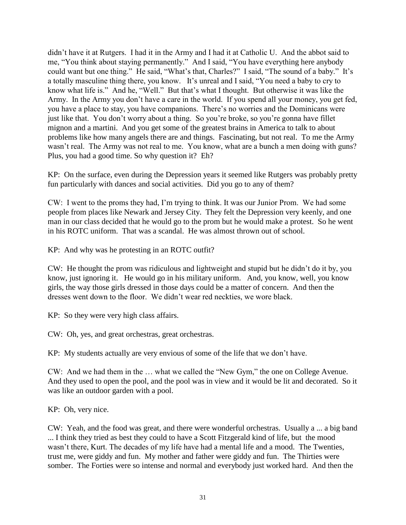didn't have it at Rutgers. I had it in the Army and I had it at Catholic U. And the abbot said to me, "You think about staying permanently." And I said, "You have everything here anybody could want but one thing." He said, "What's that, Charles?" I said, "The sound of a baby." It's a totally masculine thing there, you know. It's unreal and I said, "You need a baby to cry to know what life is." And he, "Well." But that's what I thought. But otherwise it was like the Army. In the Army you don't have a care in the world. If you spend all your money, you get fed, you have a place to stay, you have companions. There's no worries and the Dominicans were just like that. You don't worry about a thing. So you're broke, so you're gonna have fillet mignon and a martini. And you get some of the greatest brains in America to talk to about problems like how many angels there are and things. Fascinating, but not real. To me the Army wasn't real. The Army was not real to me. You know, what are a bunch a men doing with guns? Plus, you had a good time. So why question it? Eh?

KP: On the surface, even during the Depression years it seemed like Rutgers was probably pretty fun particularly with dances and social activities. Did you go to any of them?

CW: I went to the proms they had, I'm trying to think. It was our Junior Prom. We had some people from places like Newark and Jersey City. They felt the Depression very keenly, and one man in our class decided that he would go to the prom but he would make a protest. So he went in his ROTC uniform. That was a scandal. He was almost thrown out of school.

KP: And why was he protesting in an ROTC outfit?

CW: He thought the prom was ridiculous and lightweight and stupid but he didn't do it by, you know, just ignoring it. He would go in his military uniform. And, you know, well, you know girls, the way those girls dressed in those days could be a matter of concern. And then the dresses went down to the floor. We didn't wear red neckties, we wore black.

KP: So they were very high class affairs.

CW: Oh, yes, and great orchestras, great orchestras.

KP: My students actually are very envious of some of the life that we don't have.

CW: And we had them in the … what we called the "New Gym," the one on College Avenue. And they used to open the pool, and the pool was in view and it would be lit and decorated. So it was like an outdoor garden with a pool.

KP: Oh, very nice.

CW: Yeah, and the food was great, and there were wonderful orchestras. Usually a ... a big band ... I think they tried as best they could to have a Scott Fitzgerald kind of life, but the mood wasn't there, Kurt. The decades of my life have had a mental life and a mood. The Twenties, trust me, were giddy and fun. My mother and father were giddy and fun. The Thirties were somber. The Forties were so intense and normal and everybody just worked hard. And then the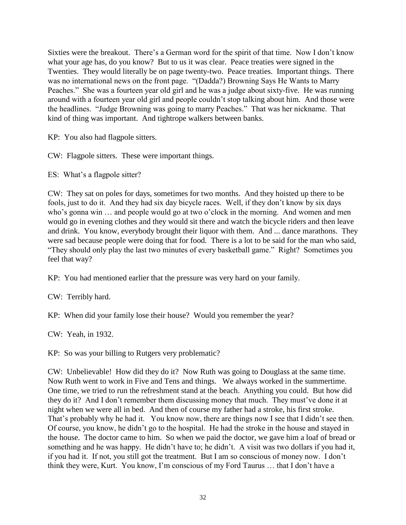Sixties were the breakout. There's a German word for the spirit of that time. Now I don't know what your age has, do you know? But to us it was clear. Peace treaties were signed in the Twenties. They would literally be on page twenty-two. Peace treaties. Important things. There was no international news on the front page. "(Dadda?) Browning Says He Wants to Marry Peaches." She was a fourteen year old girl and he was a judge about sixty-five. He was running around with a fourteen year old girl and people couldn't stop talking about him. And those were the headlines. "Judge Browning was going to marry Peaches." That was her nickname. That kind of thing was important. And tightrope walkers between banks.

KP: You also had flagpole sitters.

CW: Flagpole sitters. These were important things.

ES: What's a flagpole sitter?

CW: They sat on poles for days, sometimes for two months. And they hoisted up there to be fools, just to do it. And they had six day bicycle races. Well, if they don't know by six days who's gonna win ... and people would go at two o'clock in the morning. And women and men would go in evening clothes and they would sit there and watch the bicycle riders and then leave and drink. You know, everybody brought their liquor with them. And ... dance marathons. They were sad because people were doing that for food. There is a lot to be said for the man who said, "They should only play the last two minutes of every basketball game." Right? Sometimes you feel that way?

KP: You had mentioned earlier that the pressure was very hard on your family.

CW: Terribly hard.

KP: When did your family lose their house? Would you remember the year?

CW: Yeah, in 1932.

KP: So was your billing to Rutgers very problematic?

CW: Unbelievable! How did they do it? Now Ruth was going to Douglass at the same time. Now Ruth went to work in Five and Tens and things. We always worked in the summertime. One time, we tried to run the refreshment stand at the beach. Anything you could. But how did they do it? And I don't remember them discussing money that much. They must've done it at night when we were all in bed. And then of course my father had a stroke, his first stroke. That's probably why he had it. You know now, there are things now I see that I didn't see then. Of course, you know, he didn't go to the hospital. He had the stroke in the house and stayed in the house. The doctor came to him. So when we paid the doctor, we gave him a loaf of bread or something and he was happy. He didn't have to; he didn't. A visit was two dollars if you had it, if you had it. If not, you still got the treatment. But I am so conscious of money now. I don't think they were, Kurt. You know, I'm conscious of my Ford Taurus … that I don't have a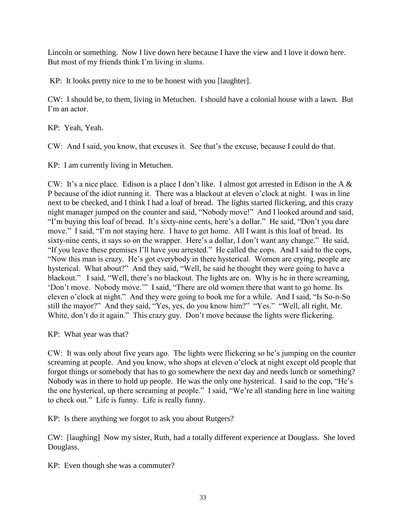Lincoln or something. Now I live down here because I have the view and I love it down here. But most of my friends think I'm living in slums.

KP: It looks pretty nice to me to be honest with you [laughter].

CW: I should be, to them, living in Metuchen. I should have a colonial house with a lawn. But I'm an actor.

KP: Yeah, Yeah.

CW: And I said, you know, that excuses it. See that's the excuse, because I could do that.

KP: I am currently living in Metuchen.

CW: It's a nice place. Edison is a place I don't like. I almost got arrested in Edison in the A  $\&$ P because of the idiot running it. There was a blackout at eleven o'clock at night. I was in line next to be checked, and I think I had a loaf of bread. The lights started flickering, and this crazy night manager jumped on the counter and said, "Nobody move!" And I looked around and said, "I'm buying this loaf of bread. It's sixty-nine cents, here's a dollar." He said, "Don't you dare move." I said, "I'm not staying here. I have to get home. All I want is this loaf of bread. Its sixty-nine cents, it says so on the wrapper. Here's a dollar, I don't want any change." He said, "If you leave these premises I'll have you arrested." He called the cops. And I said to the cops, "Now this man is crazy. He's got everybody in there hysterical. Women are crying, people are hysterical. What about?" And they said, "Well, he said he thought they were going to have a blackout." I said, "Well, there's no blackout. The lights are on. Why is he in there screaming, 'Don't move. Nobody move.'" I said, "There are old women there that want to go home. Its eleven o'clock at night." And they were going to book me for a while. And I said, "Is So-n-So still the mayor?" And they said, "Yes, yes, do you know him?" "Yes." "Well, all right, Mr. White, don't do it again." This crazy guy. Don't move because the lights were flickering.

KP: What year was that?

CW: It was only about five years ago. The lights were flickering so he's jumping on the counter screaming at people. And you know, who shops at eleven o'clock at night except old people that forgot things or somebody that has to go somewhere the next day and needs lunch or something? Nobody was in there to hold up people. He was the only one hysterical. I said to the cop, "He's the one hysterical, up there screaming at people." I said, "We're all standing here in line waiting to check out." Life is funny. Life is really funny.

KP: Is there anything we forgot to ask you about Rutgers?

CW: [laughing] Now my sister, Ruth, had a totally different experience at Douglass. She loved Douglass.

KP: Even though she was a commuter?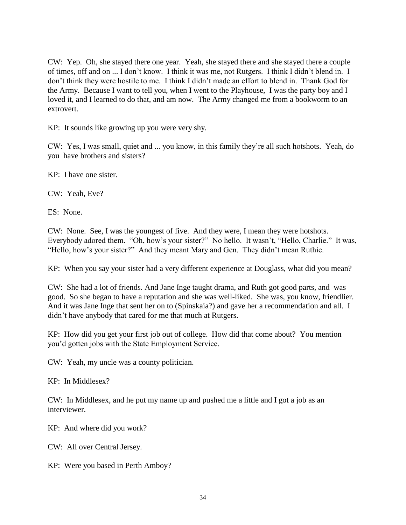CW: Yep. Oh, she stayed there one year. Yeah, she stayed there and she stayed there a couple of times, off and on ... I don't know. I think it was me, not Rutgers. I think I didn't blend in. I don't think they were hostile to me. I think I didn't made an effort to blend in. Thank God for the Army. Because I want to tell you, when I went to the Playhouse, I was the party boy and I loved it, and I learned to do that, and am now. The Army changed me from a bookworm to an extrovert.

KP: It sounds like growing up you were very shy.

CW: Yes, I was small, quiet and ... you know, in this family they're all such hotshots. Yeah, do you have brothers and sisters?

KP: I have one sister.

CW: Yeah, Eve?

ES: None.

CW: None. See, I was the youngest of five. And they were, I mean they were hotshots. Everybody adored them. "Oh, how's your sister?" No hello. It wasn't, "Hello, Charlie." It was, "Hello, how's your sister?" And they meant Mary and Gen. They didn't mean Ruthie.

KP: When you say your sister had a very different experience at Douglass, what did you mean?

CW: She had a lot of friends. And Jane Inge taught drama, and Ruth got good parts, and was good. So she began to have a reputation and she was well-liked. She was, you know, friendlier. And it was Jane Inge that sent her on to (Spinskaia?) and gave her a recommendation and all. I didn't have anybody that cared for me that much at Rutgers.

KP: How did you get your first job out of college. How did that come about? You mention you'd gotten jobs with the State Employment Service.

CW: Yeah, my uncle was a county politician.

KP: In Middlesex?

CW: In Middlesex, and he put my name up and pushed me a little and I got a job as an interviewer.

KP: And where did you work?

CW: All over Central Jersey.

KP: Were you based in Perth Amboy?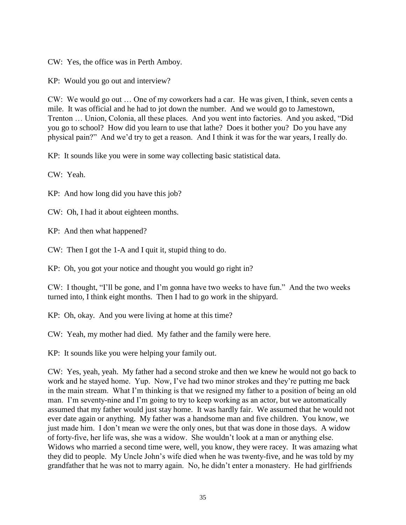CW: Yes, the office was in Perth Amboy.

KP: Would you go out and interview?

CW: We would go out … One of my coworkers had a car. He was given, I think, seven cents a mile. It was official and he had to jot down the number. And we would go to Jamestown, Trenton … Union, Colonia, all these places. And you went into factories. And you asked, "Did you go to school? How did you learn to use that lathe? Does it bother you? Do you have any physical pain?" And we'd try to get a reason. And I think it was for the war years, I really do.

KP: It sounds like you were in some way collecting basic statistical data.

CW: Yeah.

KP: And how long did you have this job?

CW: Oh, I had it about eighteen months.

KP: And then what happened?

CW: Then I got the 1-A and I quit it, stupid thing to do.

KP: Oh, you got your notice and thought you would go right in?

CW: I thought, "I'll be gone, and I'm gonna have two weeks to have fun." And the two weeks turned into, I think eight months. Then I had to go work in the shipyard.

KP: Oh, okay. And you were living at home at this time?

CW: Yeah, my mother had died. My father and the family were here.

KP: It sounds like you were helping your family out.

CW: Yes, yeah, yeah. My father had a second stroke and then we knew he would not go back to work and he stayed home. Yup. Now, I've had two minor strokes and they're putting me back in the main stream. What I'm thinking is that we resigned my father to a position of being an old man. I'm seventy-nine and I'm going to try to keep working as an actor, but we automatically assumed that my father would just stay home. It was hardly fair. We assumed that he would not ever date again or anything. My father was a handsome man and five children. You know, we just made him. I don't mean we were the only ones, but that was done in those days. A widow of forty-five, her life was, she was a widow. She wouldn't look at a man or anything else. Widows who married a second time were, well, you know, they were racey. It was amazing what they did to people. My Uncle John's wife died when he was twenty-five, and he was told by my grandfather that he was not to marry again. No, he didn't enter a monastery. He had girlfriends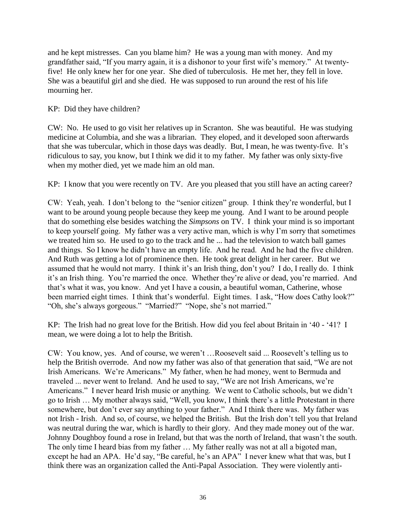and he kept mistresses. Can you blame him? He was a young man with money. And my grandfather said, "If you marry again, it is a dishonor to your first wife's memory." At twentyfive! He only knew her for one year. She died of tuberculosis. He met her, they fell in love. She was a beautiful girl and she died. He was supposed to run around the rest of his life mourning her.

KP: Did they have children?

CW: No. He used to go visit her relatives up in Scranton. She was beautiful. He was studying medicine at Columbia, and she was a librarian. They eloped, and it developed soon afterwards that she was tubercular, which in those days was deadly. But, I mean, he was twenty-five. It's ridiculous to say, you know, but I think we did it to my father. My father was only sixty-five when my mother died, yet we made him an old man.

KP: I know that you were recently on TV. Are you pleased that you still have an acting career?

CW: Yeah, yeah. I don't belong to the "senior citizen" group. I think they're wonderful, but I want to be around young people because they keep me young. And I want to be around people that do something else besides watching the *Simpsons* on TV. I think your mind is so important to keep yourself going. My father was a very active man, which is why I'm sorry that sometimes we treated him so. He used to go to the track and he ... had the television to watch ball games and things. So I know he didn't have an empty life. And he read. And he had the five children. And Ruth was getting a lot of prominence then. He took great delight in her career. But we assumed that he would not marry. I think it's an Irish thing, don't you? I do, I really do. I think it's an Irish thing. You're married the once. Whether they're alive or dead, you're married. And that's what it was, you know. And yet I have a cousin, a beautiful woman, Catherine, whose been married eight times. I think that's wonderful. Eight times. I ask, "How does Cathy look?" "Oh, she's always gorgeous." "Married?" "Nope, she's not married."

KP: The Irish had no great love for the British. How did you feel about Britain in '40 - '41? I mean, we were doing a lot to help the British.

CW: You know, yes. And of course, we weren't …Roosevelt said ... Roosevelt's telling us to help the British overrode. And now my father was also of that generation that said, "We are not Irish Americans. We're Americans." My father, when he had money, went to Bermuda and traveled ... never went to Ireland. And he used to say, "We are not Irish Americans, we're Americans." I never heard Irish music or anything. We went to Catholic schools, but we didn't go to Irish … My mother always said, "Well, you know, I think there's a little Protestant in there somewhere, but don't ever say anything to your father." And I think there was. My father was not Irish - Irish. And so, of course, we helped the British. But the Irish don't tell you that Ireland was neutral during the war, which is hardly to their glory. And they made money out of the war. Johnny Doughboy found a rose in Ireland, but that was the north of Ireland, that wasn't the south. The only time I heard bias from my father … My father really was not at all a bigoted man, except he had an APA. He'd say, "Be careful, he's an APA" I never knew what that was, but I think there was an organization called the Anti-Papal Association. They were violently anti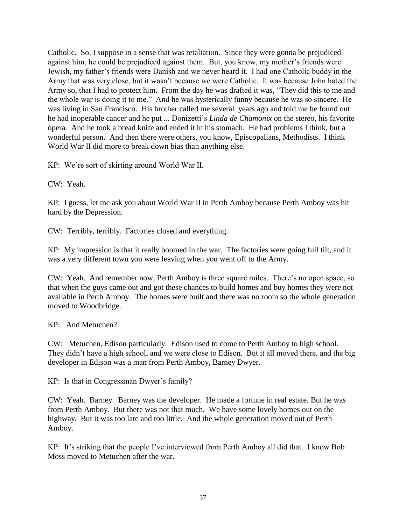Catholic. So, I suppose in a sense that was retaliation. Since they were gonna be prejudiced against him, he could be prejudiced against them. But, you know, my mother's friends were Jewish, my father's friends were Danish and we never heard it. I had one Catholic buddy in the Army that was very close, but it wasn't because we were Catholic. It was because John hated the Army so, that I had to protect him. From the day he was drafted it was, "They did this to me and the whole war is doing it to me." And he was hysterically funny because he was so sincere. He was living in San Francisco. His brother called me several years ago and told me he found out he had inoperable cancer and he put ... Donizetti's *Linda de Chamonix* on the stereo, his favorite opera. And he took a bread knife and ended it in his stomach. He had problems I think, but a wonderful person. And then there were others, you know, Episcopalians, Methodists. I think World War II did more to break down bias than anything else.

KP: We're sort of skirting around World War II.

CW: Yeah.

KP: I guess, let me ask you about World War II in Perth Amboy because Perth Amboy was hit hard by the Depression.

CW: Terribly, terribly. Factories closed and everything.

KP: My impression is that it really boomed in the war. The factories were going full tilt, and it was a very different town you were leaving when you went off to the Army.

CW: Yeah. And remember now, Perth Amboy is three square miles. There's no open space, so that when the guys came out and got these chances to build homes and buy homes they were not available in Perth Amboy. The homes were built and there was no room so the whole generation moved to Woodbridge.

KP: And Metuchen?

CW: Metuchen, Edison particularly. Edison used to come to Perth Amboy to high school. They didn't have a high school, and we were close to Edison. But it all moved there, and the big developer in Edison was a man from Perth Amboy, Barney Dwyer.

KP: Is that in Congressman Dwyer's family?

CW: Yeah. Barney. Barney was the developer. He made a fortune in real estate. But he was from Perth Amboy. But there was not that much. We have some lovely homes out on the highway. But it was too late and too little. And the whole generation moved out of Perth Amboy.

KP: It's striking that the people I've interviewed from Perth Amboy all did that. I know Bob Moss moved to Metuchen after the war.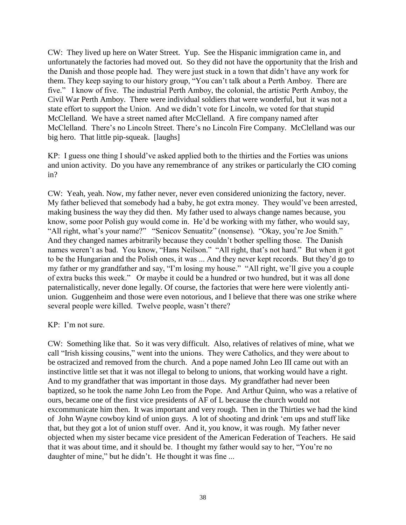CW: They lived up here on Water Street. Yup. See the Hispanic immigration came in, and unfortunately the factories had moved out. So they did not have the opportunity that the Irish and the Danish and those people had. They were just stuck in a town that didn't have any work for them. They keep saying to our history group, "You can't talk about a Perth Amboy. There are five." I know of five. The industrial Perth Amboy, the colonial, the artistic Perth Amboy, the Civil War Perth Amboy. There were individual soldiers that were wonderful, but it was not a state effort to support the Union. And we didn't vote for Lincoln, we voted for that stupid McClelland. We have a street named after McClelland. A fire company named after McClelland. There's no Lincoln Street. There's no Lincoln Fire Company. McClelland was our big hero. That little pip-squeak. [laughs]

KP: I guess one thing I should've asked applied both to the thirties and the Forties was unions and union activity. Do you have any remembrance of any strikes or particularly the CIO coming in?

CW: Yeah, yeah. Now, my father never, never even considered unionizing the factory, never. My father believed that somebody had a baby, he got extra money. They would've been arrested, making business the way they did then. My father used to always change names because, you know, some poor Polish guy would come in. He'd be working with my father, who would say, "All right, what's your name?" "Senicov Senuatitz" (nonsense). "Okay, you're Joe Smith." And they changed names arbitrarily because they couldn't bother spelling those. The Danish names weren't as bad. You know, "Hans Neilson." "All right, that's not hard." But when it got to be the Hungarian and the Polish ones, it was ... And they never kept records. But they'd go to my father or my grandfather and say, "I'm losing my house." "All right, we'll give you a couple of extra bucks this week." Or maybe it could be a hundred or two hundred, but it was all done paternalistically, never done legally. Of course, the factories that were here were violently antiunion. Guggenheim and those were even notorious, and I believe that there was one strike where several people were killed. Twelve people, wasn't there?

### KP: I'm not sure.

CW: Something like that. So it was very difficult. Also, relatives of relatives of mine, what we call "Irish kissing cousins," went into the unions. They were Catholics, and they were about to be ostracized and removed from the church. And a pope named John Leo III came out with an instinctive little set that it was not illegal to belong to unions, that working would have a right. And to my grandfather that was important in those days. My grandfather had never been baptized, so he took the name John Leo from the Pope. And Arthur Quinn, who was a relative of ours, became one of the first vice presidents of AF of L because the church would not excommunicate him then. It was important and very rough. Then in the Thirties we had the kind of John Wayne cowboy kind of union guys. A lot of shooting and drink 'em ups and stuff like that, but they got a lot of union stuff over. And it, you know, it was rough. My father never objected when my sister became vice president of the American Federation of Teachers. He said that it was about time, and it should be. I thought my father would say to her, "You're no daughter of mine," but he didn't. He thought it was fine ...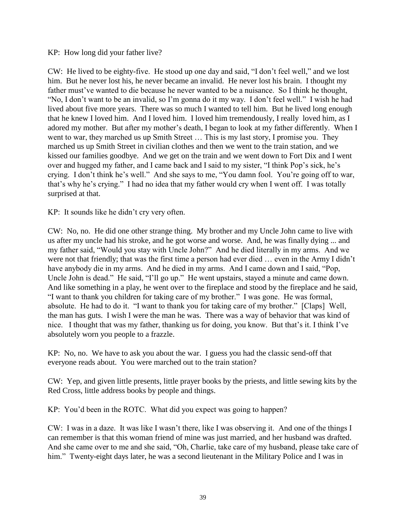### KP: How long did your father live?

CW: He lived to be eighty-five. He stood up one day and said, "I don't feel well," and we lost him. But he never lost his, he never became an invalid. He never lost his brain. I thought my father must've wanted to die because he never wanted to be a nuisance. So I think he thought, "No, I don't want to be an invalid, so I'm gonna do it my way. I don't feel well." I wish he had lived about five more years. There was so much I wanted to tell him. But he lived long enough that he knew I loved him. And I loved him. I loved him tremendously, I really loved him, as I adored my mother. But after my mother's death, I began to look at my father differently. When I went to war, they marched us up Smith Street … This is my last story, I promise you. They marched us up Smith Street in civilian clothes and then we went to the train station, and we kissed our families goodbye. And we get on the train and we went down to Fort Dix and I went over and hugged my father, and I came back and I said to my sister, "I think Pop's sick, he's crying. I don't think he's well." And she says to me, "You damn fool. You're going off to war, that's why he's crying." I had no idea that my father would cry when I went off. I was totally surprised at that.

KP: It sounds like he didn't cry very often.

CW: No, no. He did one other strange thing. My brother and my Uncle John came to live with us after my uncle had his stroke, and he got worse and worse. And, he was finally dying ... and my father said, "Would you stay with Uncle John?" And he died literally in my arms. And we were not that friendly; that was the first time a person had ever died … even in the Army I didn't have anybody die in my arms. And he died in my arms. And I came down and I said, "Pop, Uncle John is dead." He said, "I'll go up." He went upstairs, stayed a minute and came down. And like something in a play, he went over to the fireplace and stood by the fireplace and he said, "I want to thank you children for taking care of my brother." I was gone. He was formal, absolute. He had to do it. "I want to thank you for taking care of my brother." [Claps] Well, the man has guts. I wish I were the man he was. There was a way of behavior that was kind of nice. I thought that was my father, thanking us for doing, you know. But that's it. I think I've absolutely worn you people to a frazzle.

KP: No, no. We have to ask you about the war. I guess you had the classic send-off that everyone reads about. You were marched out to the train station?

CW: Yep, and given little presents, little prayer books by the priests, and little sewing kits by the Red Cross, little address books by people and things.

KP: You'd been in the ROTC. What did you expect was going to happen?

CW: I was in a daze. It was like I wasn't there, like I was observing it. And one of the things I can remember is that this woman friend of mine was just married, and her husband was drafted. And she came over to me and she said, "Oh, Charlie, take care of my husband, please take care of him." Twenty-eight days later, he was a second lieutenant in the Military Police and I was in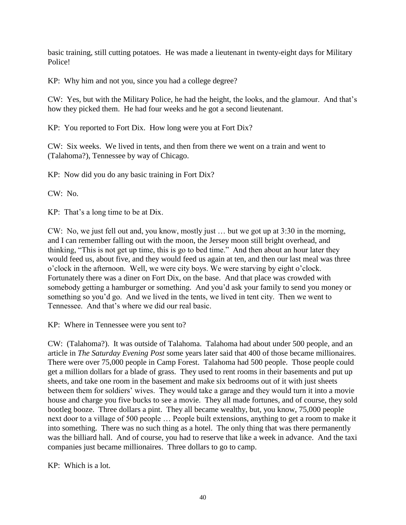basic training, still cutting potatoes. He was made a lieutenant in twenty-eight days for Military Police!

KP: Why him and not you, since you had a college degree?

CW: Yes, but with the Military Police, he had the height, the looks, and the glamour. And that's how they picked them. He had four weeks and he got a second lieutenant.

KP: You reported to Fort Dix. How long were you at Fort Dix?

CW: Six weeks. We lived in tents, and then from there we went on a train and went to (Talahoma?), Tennessee by way of Chicago.

KP: Now did you do any basic training in Fort Dix?

 $CW: No.$ 

KP: That's a long time to be at Dix.

CW: No, we just fell out and, you know, mostly just … but we got up at 3:30 in the morning, and I can remember falling out with the moon, the Jersey moon still bright overhead, and thinking, "This is not get up time, this is go to bed time." And then about an hour later they would feed us, about five, and they would feed us again at ten, and then our last meal was three o'clock in the afternoon. Well, we were city boys. We were starving by eight o'clock. Fortunately there was a diner on Fort Dix, on the base. And that place was crowded with somebody getting a hamburger or something. And you'd ask your family to send you money or something so you'd go. And we lived in the tents, we lived in tent city. Then we went to Tennessee. And that's where we did our real basic.

KP: Where in Tennessee were you sent to?

CW: (Talahoma?). It was outside of Talahoma. Talahoma had about under 500 people, and an article in *The Saturday Evening Post* some years later said that 400 of those became millionaires. There were over 75,000 people in Camp Forest. Talahoma had 500 people. Those people could get a million dollars for a blade of grass. They used to rent rooms in their basements and put up sheets, and take one room in the basement and make six bedrooms out of it with just sheets between them for soldiers' wives. They would take a garage and they would turn it into a movie house and charge you five bucks to see a movie. They all made fortunes, and of course, they sold bootleg booze. Three dollars a pint. They all became wealthy, but, you know, 75,000 people next door to a village of 500 people … People built extensions, anything to get a room to make it into something. There was no such thing as a hotel. The only thing that was there permanently was the billiard hall. And of course, you had to reserve that like a week in advance. And the taxi companies just became millionaires. Three dollars to go to camp.

KP: Which is a lot.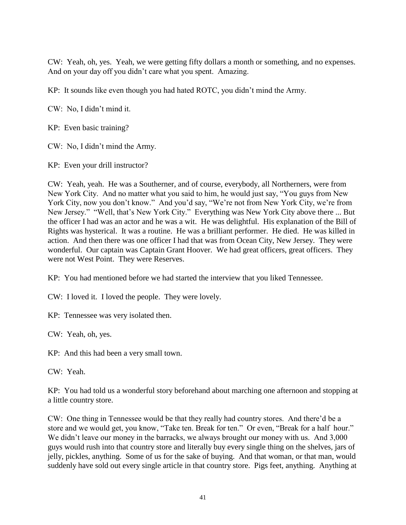CW: Yeah, oh, yes. Yeah, we were getting fifty dollars a month or something, and no expenses. And on your day off you didn't care what you spent. Amazing.

KP: It sounds like even though you had hated ROTC, you didn't mind the Army.

CW: No, I didn't mind it.

KP: Even basic training?

CW: No, I didn't mind the Army.

KP: Even your drill instructor?

CW: Yeah, yeah. He was a Southerner, and of course, everybody, all Northerners, were from New York City. And no matter what you said to him, he would just say, "You guys from New York City, now you don't know." And you'd say, "We're not from New York City, we're from New Jersey." "Well, that's New York City." Everything was New York City above there ... But the officer I had was an actor and he was a wit. He was delightful. His explanation of the Bill of Rights was hysterical. It was a routine. He was a brilliant performer. He died. He was killed in action. And then there was one officer I had that was from Ocean City, New Jersey. They were wonderful. Our captain was Captain Grant Hoover. We had great officers, great officers. They were not West Point. They were Reserves.

KP: You had mentioned before we had started the interview that you liked Tennessee.

CW: I loved it. I loved the people. They were lovely.

KP: Tennessee was very isolated then.

CW: Yeah, oh, yes.

KP: And this had been a very small town.

CW: Yeah.

KP: You had told us a wonderful story beforehand about marching one afternoon and stopping at a little country store.

CW: One thing in Tennessee would be that they really had country stores. And there'd be a store and we would get, you know, "Take ten. Break for ten." Or even, "Break for a half hour." We didn't leave our money in the barracks, we always brought our money with us. And 3,000 guys would rush into that country store and literally buy every single thing on the shelves, jars of jelly, pickles, anything. Some of us for the sake of buying. And that woman, or that man, would suddenly have sold out every single article in that country store. Pigs feet, anything. Anything at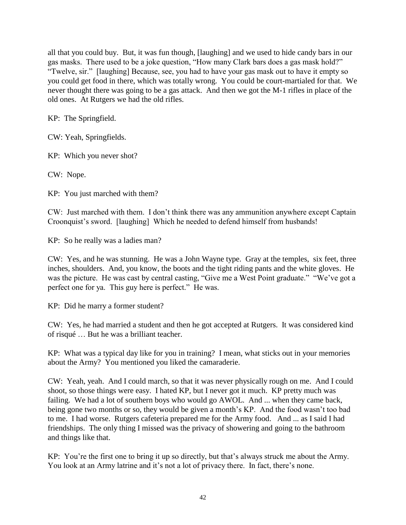all that you could buy. But, it was fun though, [laughing] and we used to hide candy bars in our gas masks. There used to be a joke question, "How many Clark bars does a gas mask hold?" "Twelve, sir." [laughing] Because, see, you had to have your gas mask out to have it empty so you could get food in there, which was totally wrong. You could be court-martialed for that. We never thought there was going to be a gas attack. And then we got the M-1 rifles in place of the old ones. At Rutgers we had the old rifles.

KP: The Springfield.

CW: Yeah, Springfields.

KP: Which you never shot?

CW: Nope.

KP: You just marched with them?

CW: Just marched with them. I don't think there was any ammunition anywhere except Captain Croonquist's sword. [laughing] Which he needed to defend himself from husbands!

KP: So he really was a ladies man?

CW: Yes, and he was stunning. He was a John Wayne type. Gray at the temples, six feet, three inches, shoulders. And, you know, the boots and the tight riding pants and the white gloves. He was the picture. He was cast by central casting, "Give me a West Point graduate." "We've got a perfect one for ya. This guy here is perfect." He was.

KP: Did he marry a former student?

CW: Yes, he had married a student and then he got accepted at Rutgers. It was considered kind of risqué … But he was a brilliant teacher.

KP: What was a typical day like for you in training? I mean, what sticks out in your memories about the Army? You mentioned you liked the camaraderie.

CW: Yeah, yeah. And I could march, so that it was never physically rough on me. And I could shoot, so those things were easy. I hated KP, but I never got it much. KP pretty much was failing. We had a lot of southern boys who would go AWOL. And ... when they came back, being gone two months or so, they would be given a month's KP. And the food wasn't too bad to me. I had worse. Rutgers cafeteria prepared me for the Army food. And ... as I said I had friendships. The only thing I missed was the privacy of showering and going to the bathroom and things like that.

KP: You're the first one to bring it up so directly, but that's always struck me about the Army. You look at an Army latrine and it's not a lot of privacy there. In fact, there's none.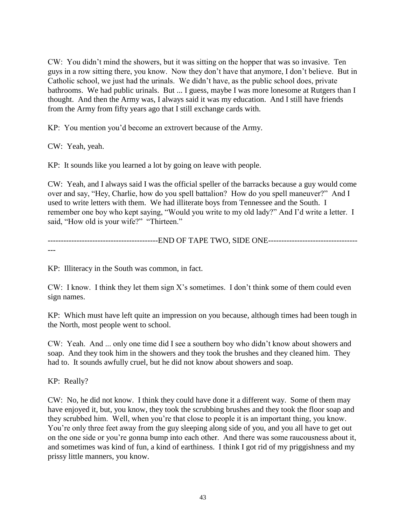CW: You didn't mind the showers, but it was sitting on the hopper that was so invasive. Ten guys in a row sitting there, you know. Now they don't have that anymore, I don't believe. But in Catholic school, we just had the urinals. We didn't have, as the public school does, private bathrooms. We had public urinals. But ... I guess, maybe I was more lonesome at Rutgers than I thought. And then the Army was, I always said it was my education. And I still have friends from the Army from fifty years ago that I still exchange cards with.

KP: You mention you'd become an extrovert because of the Army.

CW: Yeah, yeah.

KP: It sounds like you learned a lot by going on leave with people.

CW: Yeah, and I always said I was the official speller of the barracks because a guy would come over and say, "Hey, Charlie, how do you spell battalion? How do you spell maneuver?" And I used to write letters with them. We had illiterate boys from Tennessee and the South. I remember one boy who kept saying, "Would you write to my old lady?" And I'd write a letter. I said, "How old is your wife?" "Thirteen."

---------------------------------END OF TAPE TWO, SIDE ONE-------------------------------------

KP: Illiteracy in the South was common, in fact.

CW: I know. I think they let them sign X's sometimes. I don't think some of them could even sign names.

KP: Which must have left quite an impression on you because, although times had been tough in the North, most people went to school.

CW: Yeah. And ... only one time did I see a southern boy who didn't know about showers and soap. And they took him in the showers and they took the brushes and they cleaned him. They had to. It sounds awfully cruel, but he did not know about showers and soap.

KP: Really?

CW: No, he did not know. I think they could have done it a different way. Some of them may have enjoyed it, but, you know, they took the scrubbing brushes and they took the floor soap and they scrubbed him. Well, when you're that close to people it is an important thing, you know. You're only three feet away from the guy sleeping along side of you, and you all have to get out on the one side or you're gonna bump into each other. And there was some raucousness about it, and sometimes was kind of fun, a kind of earthiness. I think I got rid of my priggishness and my prissy little manners, you know.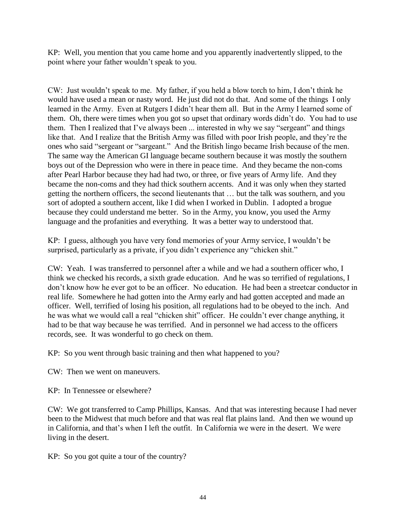KP: Well, you mention that you came home and you apparently inadvertently slipped, to the point where your father wouldn't speak to you.

CW: Just wouldn't speak to me. My father, if you held a blow torch to him, I don't think he would have used a mean or nasty word. He just did not do that. And some of the things I only learned in the Army. Even at Rutgers I didn't hear them all. But in the Army I learned some of them. Oh, there were times when you got so upset that ordinary words didn't do. You had to use them. Then I realized that I've always been ... interested in why we say "sergeant" and things like that. And I realize that the British Army was filled with poor Irish people, and they're the ones who said "sergeant or "sargeant." And the British lingo became Irish because of the men. The same way the American GI language became southern because it was mostly the southern boys out of the Depression who were in there in peace time. And they became the non-coms after Pearl Harbor because they had had two, or three, or five years of Army life. And they became the non-coms and they had thick southern accents. And it was only when they started getting the northern officers, the second lieutenants that … but the talk was southern, and you sort of adopted a southern accent, like I did when I worked in Dublin. I adopted a brogue because they could understand me better. So in the Army, you know, you used the Army language and the profanities and everything. It was a better way to understood that.

KP: I guess, although you have very fond memories of your Army service, I wouldn't be surprised, particularly as a private, if you didn't experience any "chicken shit."

CW: Yeah. I was transferred to personnel after a while and we had a southern officer who, I think we checked his records, a sixth grade education. And he was so terrified of regulations, I don't know how he ever got to be an officer. No education. He had been a streetcar conductor in real life. Somewhere he had gotten into the Army early and had gotten accepted and made an officer. Well, terrified of losing his position, all regulations had to be obeyed to the inch. And he was what we would call a real "chicken shit" officer. He couldn't ever change anything, it had to be that way because he was terrified. And in personnel we had access to the officers records, see. It was wonderful to go check on them.

KP: So you went through basic training and then what happened to you?

CW: Then we went on maneuvers.

KP: In Tennessee or elsewhere?

CW: We got transferred to Camp Phillips, Kansas. And that was interesting because I had never been to the Midwest that much before and that was real flat plains land. And then we wound up in California, and that's when I left the outfit. In California we were in the desert. We were living in the desert.

KP: So you got quite a tour of the country?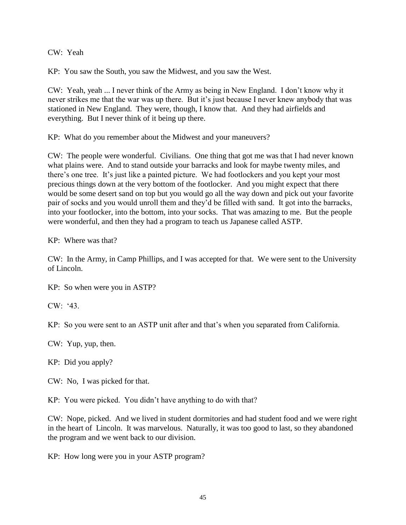CW: Yeah

KP: You saw the South, you saw the Midwest, and you saw the West.

CW: Yeah, yeah ... I never think of the Army as being in New England. I don't know why it never strikes me that the war was up there. But it's just because I never knew anybody that was stationed in New England. They were, though, I know that. And they had airfields and everything. But I never think of it being up there.

KP: What do you remember about the Midwest and your maneuvers?

CW: The people were wonderful. Civilians. One thing that got me was that I had never known what plains were. And to stand outside your barracks and look for maybe twenty miles, and there's one tree. It's just like a painted picture. We had footlockers and you kept your most precious things down at the very bottom of the footlocker. And you might expect that there would be some desert sand on top but you would go all the way down and pick out your favorite pair of socks and you would unroll them and they'd be filled with sand. It got into the barracks, into your footlocker, into the bottom, into your socks. That was amazing to me. But the people were wonderful, and then they had a program to teach us Japanese called ASTP.

KP: Where was that?

CW: In the Army, in Camp Phillips, and I was accepted for that. We were sent to the University of Lincoln.

KP: So when were you in ASTP?

CW: '43.

KP: So you were sent to an ASTP unit after and that's when you separated from California.

CW: Yup, yup, then.

KP: Did you apply?

CW: No, I was picked for that.

KP: You were picked. You didn't have anything to do with that?

CW: Nope, picked. And we lived in student dormitories and had student food and we were right in the heart of Lincoln. It was marvelous. Naturally, it was too good to last, so they abandoned the program and we went back to our division.

KP: How long were you in your ASTP program?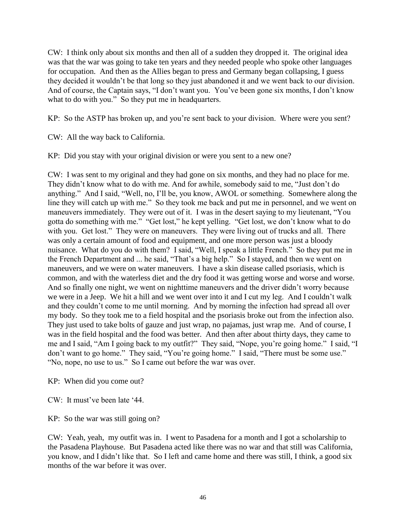CW: I think only about six months and then all of a sudden they dropped it. The original idea was that the war was going to take ten years and they needed people who spoke other languages for occupation. And then as the Allies began to press and Germany began collapsing, I guess they decided it wouldn't be that long so they just abandoned it and we went back to our division. And of course, the Captain says, "I don't want you. You've been gone six months, I don't know what to do with you." So they put me in headquarters.

KP: So the ASTP has broken up, and you're sent back to your division. Where were you sent?

CW: All the way back to California.

KP: Did you stay with your original division or were you sent to a new one?

CW: I was sent to my original and they had gone on six months, and they had no place for me. They didn't know what to do with me. And for awhile, somebody said to me, "Just don't do anything." And I said, "Well, no, I'll be, you know, AWOL or something. Somewhere along the line they will catch up with me." So they took me back and put me in personnel, and we went on maneuvers immediately. They were out of it. I was in the desert saying to my lieutenant, "You gotta do something with me." "Get lost," he kept yelling. "Get lost, we don't know what to do with you. Get lost." They were on maneuvers. They were living out of trucks and all. There was only a certain amount of food and equipment, and one more person was just a bloody nuisance. What do you do with them? I said, "Well, I speak a little French." So they put me in the French Department and ... he said, "That's a big help." So I stayed, and then we went on maneuvers, and we were on water maneuvers. I have a skin disease called psoriasis, which is common, and with the waterless diet and the dry food it was getting worse and worse and worse. And so finally one night, we went on nighttime maneuvers and the driver didn't worry because we were in a Jeep. We hit a hill and we went over into it and I cut my leg. And I couldn't walk and they couldn't come to me until morning. And by morning the infection had spread all over my body. So they took me to a field hospital and the psoriasis broke out from the infection also. They just used to take bolts of gauze and just wrap, no pajamas, just wrap me. And of course, I was in the field hospital and the food was better. And then after about thirty days, they came to me and I said, "Am I going back to my outfit?" They said, "Nope, you're going home." I said, "I don't want to go home." They said, "You're going home." I said, "There must be some use." "No, nope, no use to us." So I came out before the war was over.

KP: When did you come out?

CW: It must've been late '44.

KP: So the war was still going on?

CW: Yeah, yeah, my outfit was in. I went to Pasadena for a month and I got a scholarship to the Pasadena Playhouse. But Pasadena acted like there was no war and that still was California, you know, and I didn't like that. So I left and came home and there was still, I think, a good six months of the war before it was over.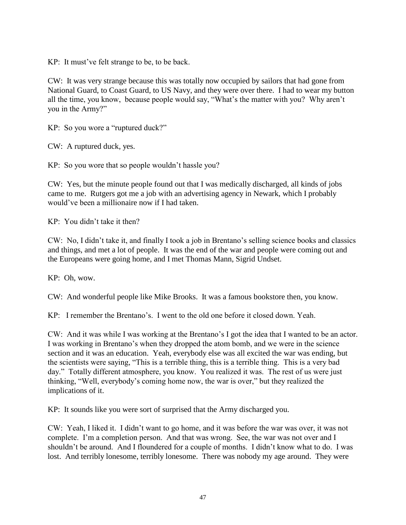KP: It must've felt strange to be, to be back.

CW: It was very strange because this was totally now occupied by sailors that had gone from National Guard, to Coast Guard, to US Navy, and they were over there. I had to wear my button all the time, you know, because people would say, "What's the matter with you? Why aren't you in the Army?"

KP: So you wore a "ruptured duck?"

CW: A ruptured duck, yes.

KP: So you wore that so people wouldn't hassle you?

CW: Yes, but the minute people found out that I was medically discharged, all kinds of jobs came to me. Rutgers got me a job with an advertising agency in Newark, which I probably would've been a millionaire now if I had taken.

KP: You didn't take it then?

CW: No, I didn't take it, and finally I took a job in Brentano's selling science books and classics and things, and met a lot of people. It was the end of the war and people were coming out and the Europeans were going home, and I met Thomas Mann, Sigrid Undset.

KP: Oh, wow.

CW: And wonderful people like Mike Brooks. It was a famous bookstore then, you know.

KP: I remember the Brentano's. I went to the old one before it closed down. Yeah.

CW: And it was while I was working at the Brentano's I got the idea that I wanted to be an actor. I was working in Brentano's when they dropped the atom bomb, and we were in the science section and it was an education. Yeah, everybody else was all excited the war was ending, but the scientists were saying, "This is a terrible thing, this is a terrible thing. This is a very bad day." Totally different atmosphere, you know. You realized it was. The rest of us were just thinking, "Well, everybody's coming home now, the war is over," but they realized the implications of it.

KP: It sounds like you were sort of surprised that the Army discharged you.

CW: Yeah, I liked it. I didn't want to go home, and it was before the war was over, it was not complete. I'm a completion person. And that was wrong. See, the war was not over and I shouldn't be around. And I floundered for a couple of months. I didn't know what to do. I was lost. And terribly lonesome, terribly lonesome. There was nobody my age around. They were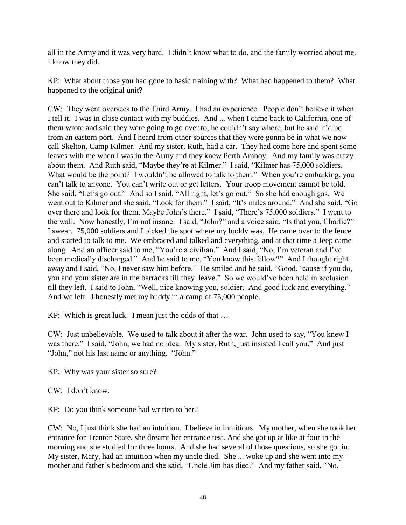all in the Army and it was very hard. I didn't know what to do, and the family worried about me. I know they did.

KP: What about those you had gone to basic training with? What had happened to them? What happened to the original unit?

CW: They went oversees to the Third Army. I had an experience. People don't believe it when I tell it. I was in close contact with my buddies. And ... when I came back to California, one of them wrote and said they were going to go over to, he couldn't say where, but he said it'd be from an eastern port. And I heard from other sources that they were gonna be in what we now call Skelton, Camp Kilmer. And my sister, Ruth, had a car. They had come here and spent some leaves with me when I was in the Army and they knew Perth Amboy. And my family was crazy about them. And Ruth said, "Maybe they're at Kilmer." I said, "Kilmer has 75,000 soldiers. What would be the point? I wouldn't be allowed to talk to them." When you're embarking, you can't talk to anyone. You can't write out or get letters. Your troop movement cannot be told. She said, "Let's go out." And so I said, "All right, let's go out." So she had enough gas. We went out to Kilmer and she said, "Look for them." I said, "It's miles around." And she said, "Go over there and look for them. Maybe John's there." I said, "There's 75,000 soldiers." I went to the wall. Now honestly, I'm not insane. I said, "John?" and a voice said, "Is that you, Charlie?" I swear. 75,000 soldiers and I picked the spot where my buddy was. He came over to the fence and started to talk to me. We embraced and talked and everything, and at that time a Jeep came along. And an officer said to me, "You're a civilian." And I said, "No, I'm veteran and I've been medically discharged." And he said to me, "You know this fellow?" And I thought right away and I said, "No, I never saw him before." He smiled and he said, "Good, 'cause if you do, you and your sister are in the barracks till they leave." So we would've been held in seclusion till they left. I said to John, "Well, nice knowing you, soldier. And good luck and everything." And we left. I honestly met my buddy in a camp of 75,000 people.

KP: Which is great luck. I mean just the odds of that …

CW: Just unbelievable. We used to talk about it after the war. John used to say, "You knew I was there." I said, "John, we had no idea. My sister, Ruth, just insisted I call you." And just "John," not his last name or anything. "John."

KP: Why was your sister so sure?

CW: I don't know.

KP: Do you think someone had written to her?

CW: No, I just think she had an intuition. I believe in intuitions. My mother, when she took her entrance for Trenton State, she dreamt her entrance test. And she got up at like at four in the morning and she studied for three hours. And she had several of those questions, so she got in. My sister, Mary, had an intuition when my uncle died. She ... woke up and she went into my mother and father's bedroom and she said, "Uncle Jim has died." And my father said, "No,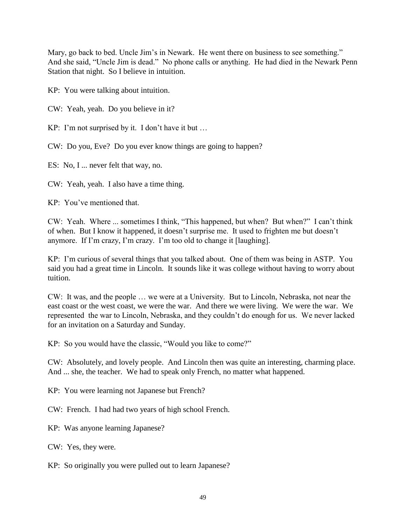Mary, go back to bed. Uncle Jim's in Newark. He went there on business to see something." And she said, "Uncle Jim is dead." No phone calls or anything. He had died in the Newark Penn Station that night. So I believe in intuition.

KP: You were talking about intuition.

CW: Yeah, yeah. Do you believe in it?

KP: I'm not surprised by it. I don't have it but …

CW: Do you, Eve? Do you ever know things are going to happen?

ES: No, I ... never felt that way, no.

CW: Yeah, yeah. I also have a time thing.

KP: You've mentioned that.

CW: Yeah. Where ... sometimes I think, "This happened, but when? But when?" I can't think of when. But I know it happened, it doesn't surprise me. It used to frighten me but doesn't anymore. If I'm crazy, I'm crazy. I'm too old to change it [laughing].

KP: I'm curious of several things that you talked about. One of them was being in ASTP. You said you had a great time in Lincoln. It sounds like it was college without having to worry about tuition.

CW: It was, and the people … we were at a University. But to Lincoln, Nebraska, not near the east coast or the west coast, we were the war. And there we were living. We were the war. We represented the war to Lincoln, Nebraska, and they couldn't do enough for us. We never lacked for an invitation on a Saturday and Sunday.

KP: So you would have the classic, "Would you like to come?"

CW: Absolutely, and lovely people. And Lincoln then was quite an interesting, charming place. And ... she, the teacher. We had to speak only French, no matter what happened.

KP: You were learning not Japanese but French?

CW: French. I had had two years of high school French.

KP: Was anyone learning Japanese?

CW: Yes, they were.

KP: So originally you were pulled out to learn Japanese?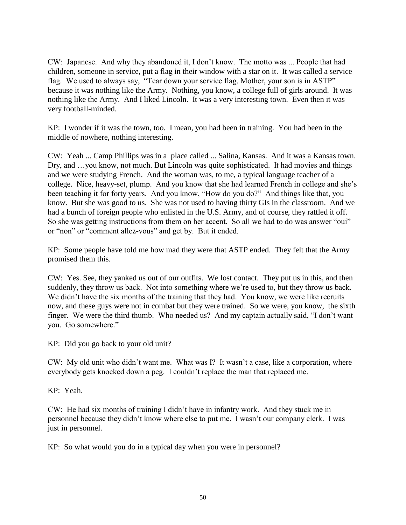CW: Japanese. And why they abandoned it, I don't know. The motto was ... People that had children, someone in service, put a flag in their window with a star on it. It was called a service flag. We used to always say, "Tear down your service flag, Mother, your son is in ASTP" because it was nothing like the Army. Nothing, you know, a college full of girls around. It was nothing like the Army. And I liked Lincoln. It was a very interesting town. Even then it was very football-minded.

KP: I wonder if it was the town, too. I mean, you had been in training. You had been in the middle of nowhere, nothing interesting.

CW: Yeah ... Camp Phillips was in a place called ... Salina, Kansas. And it was a Kansas town. Dry, and …you know, not much. But Lincoln was quite sophisticated. It had movies and things and we were studying French. And the woman was, to me, a typical language teacher of a college. Nice, heavy-set, plump. And you know that she had learned French in college and she's been teaching it for forty years. And you know, "How do you do?" And things like that, you know. But she was good to us. She was not used to having thirty GIs in the classroom. And we had a bunch of foreign people who enlisted in the U.S. Army, and of course, they rattled it off. So she was getting instructions from them on her accent. So all we had to do was answer "oui" or "non" or "comment allez-vous" and get by. But it ended.

KP: Some people have told me how mad they were that ASTP ended. They felt that the Army promised them this.

CW: Yes. See, they yanked us out of our outfits. We lost contact. They put us in this, and then suddenly, they throw us back. Not into something where we're used to, but they throw us back. We didn't have the six months of the training that they had. You know, we were like recruits now, and these guys were not in combat but they were trained. So we were, you know, the sixth finger. We were the third thumb. Who needed us? And my captain actually said, "I don't want you. Go somewhere."

KP: Did you go back to your old unit?

CW: My old unit who didn't want me. What was I? It wasn't a case, like a corporation, where everybody gets knocked down a peg. I couldn't replace the man that replaced me.

KP: Yeah.

CW: He had six months of training I didn't have in infantry work. And they stuck me in personnel because they didn't know where else to put me. I wasn't our company clerk. I was just in personnel.

KP: So what would you do in a typical day when you were in personnel?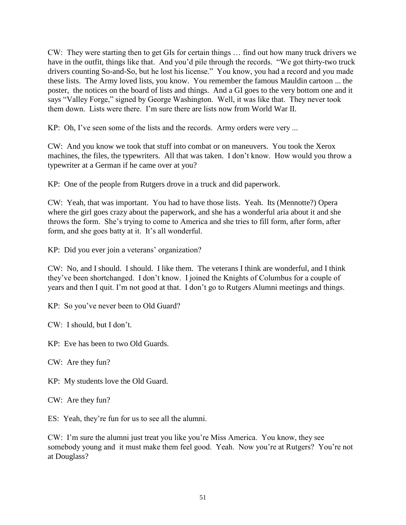CW: They were starting then to get GIs for certain things … find out how many truck drivers we have in the outfit, things like that. And you'd pile through the records. "We got thirty-two truck drivers counting So-and-So, but he lost his license." You know, you had a record and you made these lists. The Army loved lists, you know. You remember the famous Mauldin cartoon ... the poster, the notices on the board of lists and things. And a GI goes to the very bottom one and it says "Valley Forge," signed by George Washington. Well, it was like that. They never took them down. Lists were there. I'm sure there are lists now from World War II.

KP: Oh, I've seen some of the lists and the records. Army orders were very ...

CW: And you know we took that stuff into combat or on maneuvers. You took the Xerox machines, the files, the typewriters. All that was taken. I don't know. How would you throw a typewriter at a German if he came over at you?

KP: One of the people from Rutgers drove in a truck and did paperwork.

CW: Yeah, that was important. You had to have those lists. Yeah. Its (Mennotte?) Opera where the girl goes crazy about the paperwork, and she has a wonderful aria about it and she throws the form. She's trying to come to America and she tries to fill form, after form, after form, and she goes batty at it. It's all wonderful.

KP: Did you ever join a veterans' organization?

CW: No, and I should. I should. I like them. The veterans I think are wonderful, and I think they've been shortchanged. I don't know. I joined the Knights of Columbus for a couple of years and then I quit. I'm not good at that. I don't go to Rutgers Alumni meetings and things.

KP: So you've never been to Old Guard?

CW: I should, but I don't.

KP: Eve has been to two Old Guards.

CW: Are they fun?

KP: My students love the Old Guard.

CW: Are they fun?

ES: Yeah, they're fun for us to see all the alumni.

CW: I'm sure the alumni just treat you like you're Miss America. You know, they see somebody young and it must make them feel good. Yeah. Now you're at Rutgers? You're not at Douglass?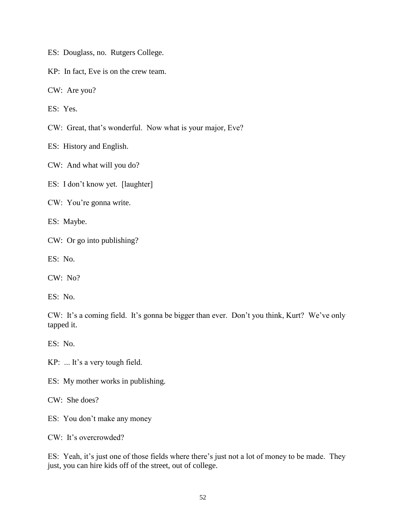ES: Douglass, no. Rutgers College.

KP: In fact, Eve is on the crew team.

CW: Are you?

ES: Yes.

CW: Great, that's wonderful. Now what is your major, Eve?

ES: History and English.

CW: And what will you do?

ES: I don't know yet. [laughter]

CW: You're gonna write.

ES: Maybe.

CW: Or go into publishing?

ES: No.

CW: No?

ES: No.

CW: It's a coming field. It's gonna be bigger than ever. Don't you think, Kurt? We've only tapped it.

ES: No.

KP: ... It's a very tough field.

ES: My mother works in publishing.

CW: She does?

ES: You don't make any money

CW: It's overcrowded?

ES: Yeah, it's just one of those fields where there's just not a lot of money to be made. They just, you can hire kids off of the street, out of college.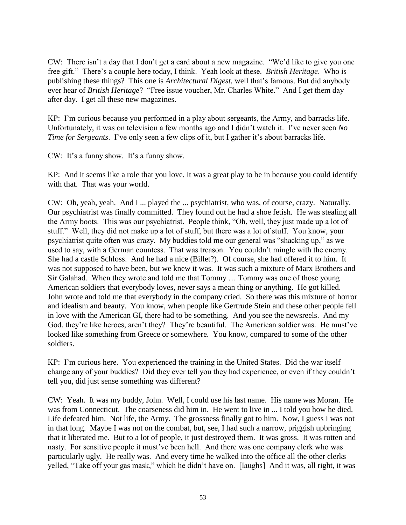CW: There isn't a day that I don't get a card about a new magazine. "We'd like to give you one free gift." There's a couple here today, I think. Yeah look at these. *British Heritage*. Who is publishing these things? This one is *Architectural Digest*, well that's famous. But did anybody ever hear of *British Heritage*? "Free issue voucher, Mr. Charles White." And I get them day after day. I get all these new magazines.

KP: I'm curious because you performed in a play about sergeants, the Army, and barracks life. Unfortunately, it was on television a few months ago and I didn't watch it. I've never seen *No Time for Sergeants.* I've only seen a few clips of it, but I gather it's about barracks life.

CW: It's a funny show. It's a funny show.

KP: And it seems like a role that you love. It was a great play to be in because you could identify with that. That was your world.

CW: Oh, yeah, yeah. And I ... played the ... psychiatrist, who was, of course, crazy. Naturally. Our psychiatrist was finally committed. They found out he had a shoe fetish. He was stealing all the Army boots. This was our psychiatrist. People think, "Oh, well, they just made up a lot of stuff." Well, they did not make up a lot of stuff, but there was a lot of stuff. You know, your psychiatrist quite often was crazy. My buddies told me our general was "shacking up," as we used to say, with a German countess. That was treason. You couldn't mingle with the enemy. She had a castle Schloss. And he had a nice (Billet?). Of course, she had offered it to him. It was not supposed to have been, but we knew it was. It was such a mixture of Marx Brothers and Sir Galahad. When they wrote and told me that Tommy … Tommy was one of those young American soldiers that everybody loves, never says a mean thing or anything. He got killed. John wrote and told me that everybody in the company cried. So there was this mixture of horror and idealism and beauty. You know, when people like Gertrude Stein and these other people fell in love with the American GI, there had to be something. And you see the newsreels. And my God, they're like heroes, aren't they? They're beautiful. The American soldier was. He must've looked like something from Greece or somewhere. You know, compared to some of the other soldiers.

KP: I'm curious here. You experienced the training in the United States. Did the war itself change any of your buddies? Did they ever tell you they had experience, or even if they couldn't tell you, did just sense something was different?

CW: Yeah. It was my buddy, John. Well, I could use his last name. His name was Moran. He was from Connecticut. The coarseness did him in. He went to live in ... I told you how he died. Life defeated him. Not life, the Army. The grossness finally got to him. Now, I guess I was not in that long. Maybe I was not on the combat, but, see, I had such a narrow, priggish upbringing that it liberated me. But to a lot of people, it just destroyed them. It was gross. It was rotten and nasty. For sensitive people it must've been hell. And there was one company clerk who was particularly ugly. He really was. And every time he walked into the office all the other clerks yelled, "Take off your gas mask," which he didn't have on. [laughs] And it was, all right, it was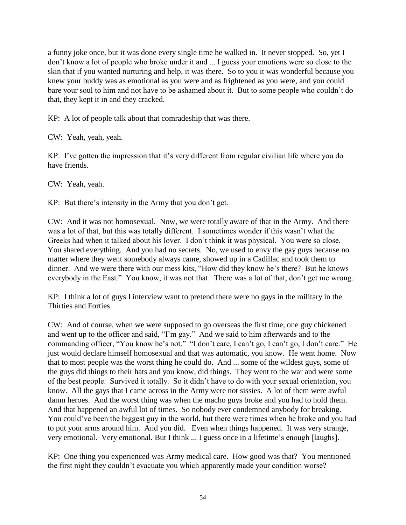a funny joke once, but it was done every single time he walked in. It never stopped. So, yet I don't know a lot of people who broke under it and ... I guess your emotions were so close to the skin that if you wanted nurturing and help, it was there. So to you it was wonderful because you knew your buddy was as emotional as you were and as frightened as you were, and you could bare your soul to him and not have to be ashamed about it. But to some people who couldn't do that, they kept it in and they cracked.

KP: A lot of people talk about that comradeship that was there.

CW: Yeah, yeah, yeah.

KP: I've gotten the impression that it's very different from regular civilian life where you do have friends.

CW: Yeah, yeah.

KP: But there's intensity in the Army that you don't get.

CW: And it was not homosexual. Now, we were totally aware of that in the Army. And there was a lot of that, but this was totally different. I sometimes wonder if this wasn't what the Greeks had when it talked about his lover. I don't think it was physical. You were so close. You shared everything. And you had no secrets. No, we used to envy the gay guys because no matter where they went somebody always came, showed up in a Cadillac and took them to dinner. And we were there with our mess kits, "How did they know he's there? But he knows everybody in the East." You know, it was not that. There was a lot of that, don't get me wrong.

KP: I think a lot of guys I interview want to pretend there were no gays in the military in the Thirties and Forties.

CW: And of course, when we were supposed to go overseas the first time, one guy chickened and went up to the officer and said, "I'm gay." And we said to him afterwards and to the commanding officer, "You know he's not." "I don't care, I can't go, I can't go, I don't care." He just would declare himself homosexual and that was automatic, you know. He went home. Now that to most people was the worst thing he could do. And ... some of the wildest guys, some of the guys did things to their hats and you know, did things. They went to the war and were some of the best people. Survived it totally. So it didn't have to do with your sexual orientation, you know. All the gays that I came across in the Army were not sissies. A lot of them were awful damn heroes. And the worst thing was when the macho guys broke and you had to hold them. And that happened an awful lot of times. So nobody ever condemned anybody for breaking. You could've been the biggest guy in the world, but there were times when he broke and you had to put your arms around him. And you did. Even when things happened. It was very strange, very emotional. Very emotional. But I think ... I guess once in a lifetime's enough [laughs].

KP: One thing you experienced was Army medical care. How good was that? You mentioned the first night they couldn't evacuate you which apparently made your condition worse?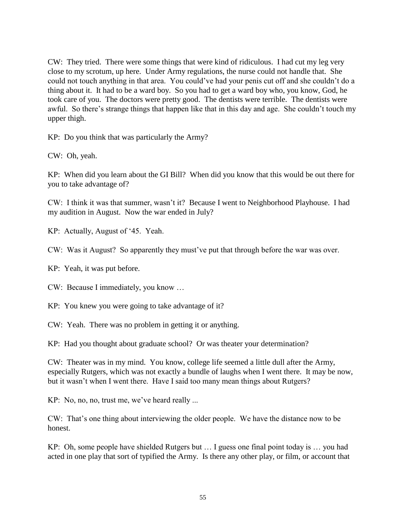CW: They tried. There were some things that were kind of ridiculous. I had cut my leg very close to my scrotum, up here. Under Army regulations, the nurse could not handle that. She could not touch anything in that area. You could've had your penis cut off and she couldn't do a thing about it. It had to be a ward boy. So you had to get a ward boy who, you know, God, he took care of you. The doctors were pretty good. The dentists were terrible. The dentists were awful. So there's strange things that happen like that in this day and age. She couldn't touch my upper thigh.

KP: Do you think that was particularly the Army?

CW: Oh, yeah.

KP: When did you learn about the GI Bill? When did you know that this would be out there for you to take advantage of?

CW: I think it was that summer, wasn't it? Because I went to Neighborhood Playhouse. I had my audition in August. Now the war ended in July?

KP: Actually, August of '45. Yeah.

CW: Was it August? So apparently they must've put that through before the war was over.

KP: Yeah, it was put before.

CW: Because I immediately, you know …

KP: You knew you were going to take advantage of it?

CW: Yeah. There was no problem in getting it or anything.

KP: Had you thought about graduate school? Or was theater your determination?

CW: Theater was in my mind. You know, college life seemed a little dull after the Army, especially Rutgers, which was not exactly a bundle of laughs when I went there. It may be now, but it wasn't when I went there. Have I said too many mean things about Rutgers?

KP: No, no, no, trust me, we've heard really ...

CW: That's one thing about interviewing the older people. We have the distance now to be honest.

KP: Oh, some people have shielded Rutgers but … I guess one final point today is … you had acted in one play that sort of typified the Army. Is there any other play, or film, or account that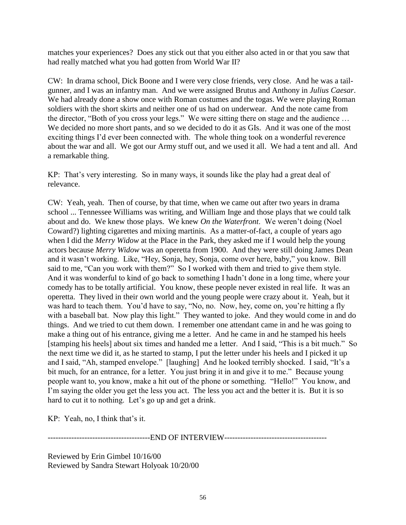matches your experiences? Does any stick out that you either also acted in or that you saw that had really matched what you had gotten from World War II?

CW: In drama school, Dick Boone and I were very close friends, very close. And he was a tailgunner, and I was an infantry man. And we were assigned Brutus and Anthony in *Julius Caesar*. We had already done a show once with Roman costumes and the togas. We were playing Roman soldiers with the short skirts and neither one of us had on underwear. And the note came from the director, "Both of you cross your legs." We were sitting there on stage and the audience … We decided no more short pants, and so we decided to do it as GIs. And it was one of the most exciting things I'd ever been connected with. The whole thing took on a wonderful reverence about the war and all. We got our Army stuff out, and we used it all. We had a tent and all. And a remarkable thing.

KP: That's very interesting. So in many ways, it sounds like the play had a great deal of relevance.

CW: Yeah, yeah. Then of course, by that time, when we came out after two years in drama school ... Tennessee Williams was writing, and William Inge and those plays that we could talk about and do. We knew those plays. We knew *On the Waterfront*. We weren't doing (Noel Coward?) lighting cigarettes and mixing martinis. As a matter-of-fact, a couple of years ago when I did the *Merry Widow* at the Place in the Park, they asked me if I would help the young actors because *Merry Widow* was an operetta from 1900. And they were still doing James Dean and it wasn't working. Like, "Hey, Sonja, hey, Sonja, come over here, baby," you know. Bill said to me, "Can you work with them?" So I worked with them and tried to give them style. And it was wonderful to kind of go back to something I hadn't done in a long time, where your comedy has to be totally artificial. You know, these people never existed in real life. It was an operetta. They lived in their own world and the young people were crazy about it. Yeah, but it was hard to teach them. You'd have to say, "No, no. Now, hey, come on, you're hitting a fly with a baseball bat. Now play this light." They wanted to joke. And they would come in and do things. And we tried to cut them down. I remember one attendant came in and he was going to make a thing out of his entrance, giving me a letter. And he came in and he stamped his heels [stamping his heels] about six times and handed me a letter. And I said, "This is a bit much." So the next time we did it, as he started to stamp, I put the letter under his heels and I picked it up and I said, "Ah, stamped envelope." [laughing] And he looked terribly shocked. I said, "It's a bit much, for an entrance, for a letter. You just bring it in and give it to me." Because young people want to, you know, make a hit out of the phone or something. "Hello!" You know, and I'm saying the older you get the less you act. The less you act and the better it is. But it is so hard to cut it to nothing. Let's go up and get a drink.

KP: Yeah, no, I think that's it.

-------------END OF INTERVIEW------------------------

Reviewed by Erin Gimbel 10/16/00 Reviewed by Sandra Stewart Holyoak 10/20/00